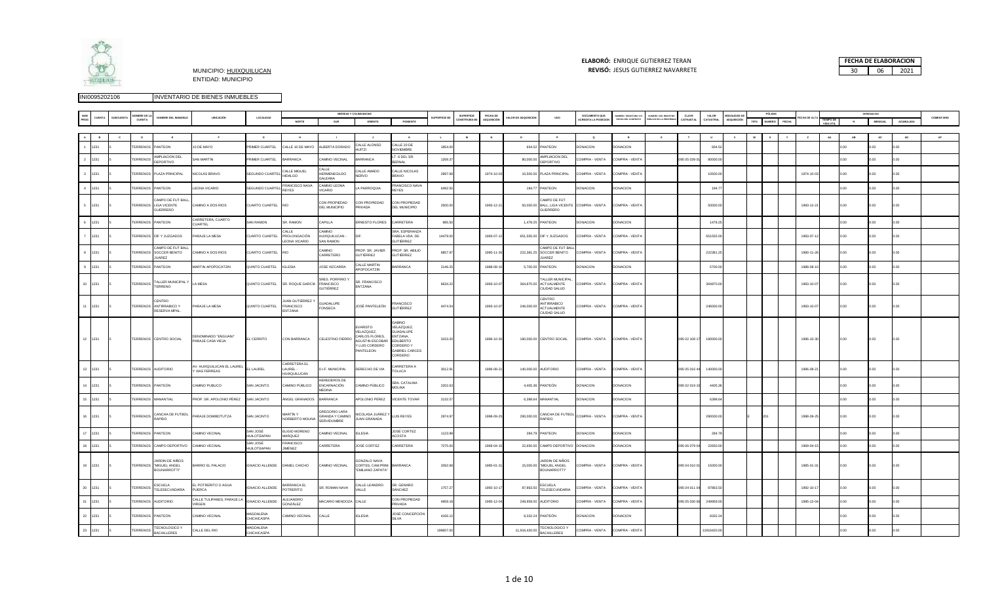

### **ELABORÓ:** ENRIQUE GUTIERREZ TERAN

| <b>ELABORÓ: ENRIQUE GUTIERREZ TERAN</b>                             |    | <b>FECHA DE ELABORACION</b> |
|---------------------------------------------------------------------|----|-----------------------------|
| <b>REVISÓ: JESUS GUTIERREZ NAVARRETE</b><br>MUNICIPIO: HUIXQUILUCAN | 30 | 2021                        |

|                                 |              |                      |                                                                 |                                                  |                                 |                                           |                                                          | <b>MEDIDAS Y COLINDANCIAS</b>                                                                  |                                                                                                                                     |                     |                           |                             |                          |                                                                        |                                              |                                                   |                                                    |                    |                    |                                 |      | PÓLIZA |            |    |      |                |           |            |
|---------------------------------|--------------|----------------------|-----------------------------------------------------------------|--------------------------------------------------|---------------------------------|-------------------------------------------|----------------------------------------------------------|------------------------------------------------------------------------------------------------|-------------------------------------------------------------------------------------------------------------------------------------|---------------------|---------------------------|-----------------------------|--------------------------|------------------------------------------------------------------------|----------------------------------------------|---------------------------------------------------|----------------------------------------------------|--------------------|--------------------|---------------------------------|------|--------|------------|----|------|----------------|-----------|------------|
|                                 | <b>BCUEN</b> | MBRE DE LA<br>CUENTA | NOMBRE DEL INMUEBLE                                             | UBICACIÓN                                        | LOCALIDAD                       | NORTE                                     | SUR                                                      | ORIENTE                                                                                        | PONIENTE                                                                                                                            | <b>SUPERFICIE M</b> | SUPERFICIE<br>ONSTRUIDA M | FECHA DE<br><b>QUISICIÓ</b> | <b>ILOR DE ADQUISICI</b> | <b>USO</b>                                                             | DOCUMENTO QUE<br><b>ACREDITA LA POSECIÓN</b> | <b>JUMERO ESCRITURA Y/C</b><br>FECHA DEL CONTRATO | <b>KUMERO DEL REGISTRO</b><br>ÚBLICO DE LA PROPIED | CLAVE<br>CATRASTAL | VALOR<br>CATASTRAL | <b>IODALIDAD</b><br>ADQUISICIÓN | TIPO |        |            |    |      | <b>MENSUAL</b> | ACUMULADA | COMENTARIO |
|                                 |              |                      |                                                                 |                                                  |                                 |                                           |                                                          |                                                                                                |                                                                                                                                     |                     |                           |                             |                          |                                                                        |                                              |                                                   |                                                    |                    |                    |                                 |      |        |            |    |      |                |           |            |
|                                 |              |                      |                                                                 |                                                  |                                 |                                           |                                                          |                                                                                                |                                                                                                                                     |                     |                           |                             |                          |                                                                        |                                              |                                                   |                                                    |                    |                    |                                 |      |        |            |    |      |                |           |            |
|                                 |              | $\mathbf{D}$         |                                                                 |                                                  | $\mathbf{G}$                    | H                                         |                                                          |                                                                                                | $\kappa$                                                                                                                            | L                   | M                         | $\,$ M $\,$                 |                          | $\mathbf{P}$                                                           | $\bullet$                                    | R                                                 |                                                    |                    | $\mathbf{u}$       |                                 |      |        |            | AA | AB   | AC             | AD        |            |
| 1231                            |              | <b>ERRENOS</b>       | <b>PANTEON</b>                                                  | 0 DE MAYO                                        | RIMER CUARTEL                   | ALLE 10 DE MAYO                           | ALBERTA DORADO                                           | CALLE ALONSO<br>111T71                                                                         | CALLE 20 DE<br>VOVIEMBRE                                                                                                            | 1854.0              |                           |                             | 934.52                   | PANTEON                                                                | <b>ONACION</b>                               | ONACION                                           |                                                    |                    | 934.52             |                                 |      |        |            |    |      |                | .00       |            |
| 2 1231                          |              | TERRENOS             | AMPLIACION DEL<br>DEPORTIVO                                     | SAN MARTÍN                                       | PRIMER CUARTEL                  | <b>BARRANCA</b>                           | CAMINO VECINAL                                           | <b>BARRANCA</b>                                                                                | .6 DEL SR.<br>ERNAL                                                                                                                 | 1269.37             |                           |                             | 80,000.0                 | AMPLIACION DEL<br>DEPORTIVO                                            | COMPRA - VENTA                               | COMPRA - VENT/                                    |                                                    | 095 05 039 0       | 80000.0            |                                 |      |        |            |    | OO.  | 00             | n o       |            |
| $\overline{\mathbf{3}}$<br>1231 |              |                      | TERRENOS PLAZA PRINCIPAL                                        | NICOLAS BRAVO                                    | <b>SEGUNDO CUARTEI</b>          | ALLE MIGUEL<br><b>IIDALGO</b>             | CALLE<br><b>HERMENEGILDO</b><br>AI FANA                  | ALLE AMADO<br><b>JERVO</b>                                                                     | ALLE NICOLAS<br>RAVO                                                                                                                | 2997.61             |                           | 1974-10-03                  |                          | 10,500.00 PLAZA PRINCIPAL                                              | COMPRA - VENTA                               | COMPRA - VENT                                     |                                                    |                    | 10500.00           |                                 |      |        | 1974-10-0  |    | 100  | nn             | i nn      |            |
| 4 1231                          |              | <b>TERRENOS</b>      | PANTEON                                                         | LEONA VICARIO                                    | SEGUNDO CUARTE                  | FRANCISCO NAVA<br>REYES                   | CAMINO LEONA<br>/ICARIO                                  | LA PARROQUIA                                                                                   | RANCISCO NAVA<br><b>EYES</b>                                                                                                        | 6492.50             |                           |                             | 194.77                   | PANTEON                                                                | <b>DONACION</b>                              | DONACION                                          |                                                    |                    | 194.7              |                                 |      |        |            |    | 0.00 | 00.0           | 00        |            |
| $5 - 1231$                      |              |                      | AMPO DE FUT BAL<br>TERRENOS LIGA VICENTE<br>GUERRERO            | CAMINO A DOS RIOS                                | CUARTO CUARTEL                  | <b>RIO</b>                                | CON PROPIEDAD<br>DEL MUNICIPIO                           | CON PROPIEDAD<br>PRIVADA                                                                       | CON PROPIEDAD<br><b>DEL MUNICIPIO</b>                                                                                               | 2500.0              |                           | 1993-12-2                   |                          | AMPO DE FUT<br>50,000.00 BALL, LIGA VICENTE COMPRA - VENTA<br>GUERRERO |                                              | COMPRA - VENT/                                    |                                                    |                    | 50000.00           |                                 |      |        | 1993-12-2  |    | 00   | ን በበ           | n on      |            |
| 6 1231                          |              | <b>TERRENOS</b>      | PANTEON                                                         | CARRETERA, CUARTO<br>CUARTEL                     | <b>SAN RAMON</b>                | SR. RAMON                                 | CAPILLA                                                  | <b>RNESTO FLORES</b>                                                                           | CARRETERA                                                                                                                           | 985.50              |                           |                             |                          | 1,478.25 PANTEON                                                       | DONACION                                     | <b>ONACION</b>                                    |                                                    |                    | 1478.25            |                                 |      |        |            |    | n oo | 00             | 00        |            |
| $\overline{7}$<br>1231          |              |                      | TERRENOS DIF Y JUZGADOS                                         | ARAJE LA MESA                                    | UARTO CUARTEL                   | ALLE<br>PROLONGACIÓN<br>FONA VICARIO      | OVIMA:<br>IUIXQUILUCAN -<br>SAN RAMON                    |                                                                                                | SRA. ESPERANZA<br>ABELA VDA. DE<br><b>SUTIÉRREZ</b>                                                                                 | 14479.00            |                           | 1993-07-1                   |                          | 651,555.00 DIF Y JUZGADOS                                              | COMPRA - VENTA                               | COMPRA - VENT/                                    |                                                    |                    | 651555.00          |                                 |      |        | 1993-07-1  |    | n oo |                | 0.00      |            |
| 8<br>1231                       |              | <b>TERRENOS</b>      | AMPO DE FUT BAL<br>SOCCER BENITO<br>UAREZ                       | CAMINO A DOS RIOS                                | <b>CUARTO CUARTE</b>            |                                           | OVIIMA:<br>ARRETERO                                      | ROP. SR. JAVIER<br><b>GUTIÉRREZ</b>                                                            | PROP. SR. ABILIO<br>GUTIÉRREZ                                                                                                       | 6857.9              |                           | 1990-11-2                   | 222,381.25               | AMPO DE FUT BA<br>SOCCER BENITO<br>UAREZ                               | COMPRA - VENTA                               | COMPRA - VENT                                     |                                                    |                    | 222381.2           |                                 |      |        | 1990-11-2  |    | 0.00 | no             |           |            |
| 9 1231                          |              | <b>TERRENOS</b>      | PANTEON                                                         | <b>MARTIN APOPOCATZIN</b>                        | QUINTO CUARTEL                  | <b>IGLESIA</b>                            | JOSE VIZCARRA                                            | CALLE MARTIN<br>APOPOCATZIN                                                                    | ARRANCA                                                                                                                             | 2146.2              |                           | 1988-08-1                   | 5,700.00                 | PANTEON                                                                | <b>DONACION</b>                              | <b>ONACION</b>                                    |                                                    |                    | 5700.00            |                                 |      |        | 1988-08-1  |    | n n  | n n            |           |            |
| 10 1231                         |              | <b>TERRENOS</b>      | ALLER MUNICIPAL<br>TERRENO                                      | LA MESA                                          | QUINTO CUARTEL                  | SR. ROQUE GARCÍA                          | SRES, PORFIRIO Y<br><b>FRANCISCO</b><br><b>SUTIÉRREZ</b> | SR. FRANCISCO<br>ENTZANA                                                                       |                                                                                                                                     | 6634.23             |                           | 1993-10-0                   |                          | TALLER MUNICIPA<br>364,870.00 ACTUALMENTE<br>CIUDAD SALUD              | COMPRA - VENTA                               | COMPRA - VENTA                                    |                                                    |                    | 364870.00          |                                 |      |        | 1993-10-07 |    | 0.00 | 00.0           | n on      |            |
| 1231                            |              |                      | <b>FNTRO</b><br>TERRENOS ANTIRRABICO Y<br>RESERVA MPAL.         | PARAJE LA MESA                                   | QUINTO CUARTEL                  | JAN GUTIÉRREZ Y<br>FRANCISCO<br>ENTZANA   | <b>SUADALUPE</b><br>FONSECA                              | JOSÉ PANTELEÓN                                                                                 | RANCISCO<br><b>GUTIÉRREZ</b>                                                                                                        | 4474.5              |                           | 1993-10-0                   | 246,000.00               | CENTRO<br>ANTIRRABICO<br><b>ACTUALMENTE</b><br>CIUDAD SALUD            | COMPRA - VENTA                               | COMPRA - VENTA                                    |                                                    |                    | 246000.00          |                                 |      |        | 1993-10-0  |    | 00.0 | .00            | 0.00      |            |
| 12 1231                         |              |                      | TERRENOS CENTRO SOCIAL                                          | DENOMINADO "ENGUANI"<br>PARAJE CASA VIEJA        | EL CERRITO                      | CON BARRANCA                              | CELESTINO FIERRO                                         | VARISTO<br>/ELAZQUEZ,<br>CARLOS FLORES,<br><b>GUSTIN ESCOBAR</b><br>/ LUIS CORDERO<br>ANTELEON | <b>OUIRE</b><br>VELAZQUEZ.<br><b>SUADALUPE</b><br>NTZANA,<br><b>DILBERTO</b><br><b>CORDEROY</b><br><b>GABRIEL CARCES</b><br>CORDERO | 3153.20             |                           | 1996-10-30                  |                          | 180,000.00 CENTRO SOCIAL                                               | COMPRA - VENTA                               | COMPRA - VENTA                                    |                                                    | 095 02 108 17      | 180000.00          |                                 |      |        | 1996-10-30 |    |      |                |           |            |
| 1231                            |              | TERRENOS AUDITORIO   |                                                                 | V. HUIXQUILUCAN EL LAUREL<br><b>VIAS FERREAS</b> | <b>LLAUREL</b>                  | ARRETERA EL<br>AUREL-<br>HUIXQUILUCAN     | <b>I.F. MUNICIPAL</b>                                    | DERECHO DE VIA                                                                                 | ARRETERA A<br><b><i>FOLUCA</i></b>                                                                                                  | 3012.91             |                           | 1996-08-2                   | 140,000.00               | <b>AUDITORIO</b>                                                       | COMPRA - VENTA                               | COMPRA - VENTA                                    |                                                    | 095 05 016 4       | 140000.00          |                                 |      |        | 1996-08-2  |    | .00  |                |           |            |
| 14<br>1231                      |              | TERRENOS PANTEÓN     |                                                                 | CAMINO PUBLICO                                   | <b>SAN JACINTO</b>              | CAMINO PÚBLICO                            | <b>EREDEROS DE</b><br>ENCARNACIÓN<br>MEDINA              | AMINO PÚBLICO                                                                                  | SRA. CATALINA<br><b>IOLINA</b>                                                                                                      | 2202.63             |                           |                             |                          | 4,405.36 PANTEÓN                                                       | <b>DONACION</b>                              | DONACION                                          |                                                    | 095 02 019 10      | 4405.36            |                                 |      |        |            |    | n oo |                | 0.00      |            |
| 15 1231                         |              | <b>TERRENOS</b>      | MANANTIAI                                                       | PROP. SR. APOLONIO PÉREZ                         | SAN JACINTO                     | ÁNGEL GRANADOS                            | BARRANCA                                                 | APOLONIO PÉREZ                                                                                 | <b>VICENTE TOVAR</b>                                                                                                                | 2132.5              |                           |                             | 6,398.64                 | MANANTIAL                                                              | DONACION                                     | DONACION                                          |                                                    |                    | 6398.6             |                                 |      |        |            |    | n oo | 00             | n n       |            |
| 16 1231                         |              | <b>TERRENOS</b>      | CANCHA DE FUTBOL<br>RAPIDO                                      | PARAJE DOMIBOTUTZA                               | SAN JACINTO                     | <b>MARTÍN Y</b><br><b>VORBERTO MOLINA</b> | REGORIO LARA<br>GRANDA Y CAMINO<br>ERVIDUMBRE            | NICOLASA JUÁREZ<br><b>JUAN GRANADA</b>                                                         | LUIS REYES                                                                                                                          | 2974.97             |                           | 1998-09-25                  | 290,000.00               | RAPIDO                                                                 | ANCHA DE FUTBOL<br>COMPRA - VENTA            | COMPRA - VENTA                                    |                                                    |                    | 290000.00          |                                 |      |        | 1998-09-25 |    | 0.00 | 00             | 0.00      |            |
| 17 1231                         |              | TERRENOS PANTEON     |                                                                 | AMINO VECINAL                                    | SAN JOSÉ<br><b>IUILOTEAPAN</b>  | ELIGIO MORENO<br><b>IARQUEZ</b>           | AMINO VECINAL                                            | <b>IGLESIA</b>                                                                                 | JOSÉ CORTEZ<br><b>ACOSTA</b>                                                                                                        | 1123.98             |                           |                             | 284.79                   | PANTEON                                                                | <b>DONACION</b>                              | DONACION                                          |                                                    |                    | 284.7              |                                 |      |        |            |    | 00   |                | 00        |            |
| 18 1231                         |              |                      | TERRENOS CAMPO DEPORTIVO                                        | CAMINO VECINAL                                   | SAN JOSÉ<br><b>IUILOTEAPAN</b>  | RANCISCO<br>JIMÉNEZ                       | ARRETERA                                                 | JOSÉ CORTEZ                                                                                    | CARRETERA                                                                                                                           | 7275.00             |                           | 1969-04-1                   | 22,650.00                | CAMPO DEPORTIVO                                                        | DONACION                                     | DONACION                                          |                                                    | 095 06 079 0       | 22650.00           |                                 |      |        | 1969-04-15 |    | OO.  | 00             | i nn      |            |
| 19 1231                         |              |                      | <b>ARDIN DE NIÑOS</b><br>TERRENOS "MIGUEL ANGEL<br>BOUNARROTTI" | BARRIO EL PALACIO                                | <b>IGNACIO ALLENDE</b>          | DANIEL CHICHO                             | CAMINO VECINAL                                           | GONZALO NAVA<br>CORTES, CAM.PRIM<br>"EMILIANO ZAPATA"                                          | <b>BARRANCA</b>                                                                                                                     | 2092.6              |                           | 1985-01-3                   | 15,000.00                | ARDIN DE NIÑOS<br>"MIGUEL ANGEL<br>BOUNARROTTI"                        | COMPRA - VENTA                               | COMPRA - VENT/                                    |                                                    | 095 04 010 0       | 15000.00           |                                 |      |        | 1985-01-3  |    | 0.00 | 00             | 00        |            |
| 20<br>1231                      |              | TERRENOS             | <b>ESCUELA</b><br>TELESECUNDARIA                                | EL POTRERITO O AGUA<br>PUERCA                    | GNACIO ALLENDE                  | BARRANCA EL<br><b>POTRERITO</b>           | <b>SR. ROMAN NAVA</b>                                    | CALLE LEANDRO<br>/AIIF                                                                         | SR. GENARO<br>SÁNCHEZ                                                                                                               | 1757.27             |                           | 1992-10-1                   | 87,863.50                | <b>ESCUELA</b><br>TELESECUNDARIA                                       | COMPRA - VENTA                               | COMPRA - VENT/                                    |                                                    | 095 04 011 0       | 87863.5            |                                 |      |        | 1992-10-17 |    | .00  | .00            | 0.00      |            |
| 21 1231                         |              | TERRENOS             | <b>AUDITORIO</b>                                                | CALLE TULIPANES, PARAJE LA<br>VIRGEN             | <b>IGNACIO ALLENDE</b>          | ALEJANDRO<br><b>GONZÁLEZ</b>              | MACARIO MENDOZA                                          | CALLE                                                                                          | CON PROPIEDAD<br>RIVADA                                                                                                             | 4959.1              |                           | 1995-12-0                   | 249,959.00               | <b>AUDITORIO</b>                                                       | COMPRA - VENTA                               | COMPRA - VENTA                                    |                                                    | 095 05 030 06      | 249959.00          |                                 |      |        | 1995-12-0  |    | 00.  | 00.            |           |            |
| 22<br>1231                      |              | TERRENOS             | PANTEÓN                                                         | CAMINO VECINAL                                   | MAGDALENA<br><b>CHICHICASPA</b> | AMINO VECINAL                             | ALLE <sup></sup>                                         | <b>IGLESIA</b>                                                                                 | JOSÉ CONCEPCIÓN<br><b>SILVA</b>                                                                                                     | 4166.1              |                           |                             |                          | 8,332.24 PANTEÓN                                                       | <b>DONACION</b>                              | DONACION                                          |                                                    |                    | 8332.2             |                                 |      |        |            |    |      |                |           |            |
| 23<br>1231                      |              | TERRENOS             | <b>TECNOLOGICO Y</b><br><b>BACHILLERES</b>                      | CALLE DEL RIO                                    | MAGDALENA<br>CHICHICASPA        |                                           |                                                          |                                                                                                |                                                                                                                                     | 198607              |                           |                             | 11,916,420.00            | <b>TECNOLOGICO Y</b><br><b>BACHILLERES</b>                             | COMPRA - VENTA                               | COMPRA - VENT/                                    |                                                    |                    | 1916420.0          |                                 |      |        |            |    |      |                |           |            |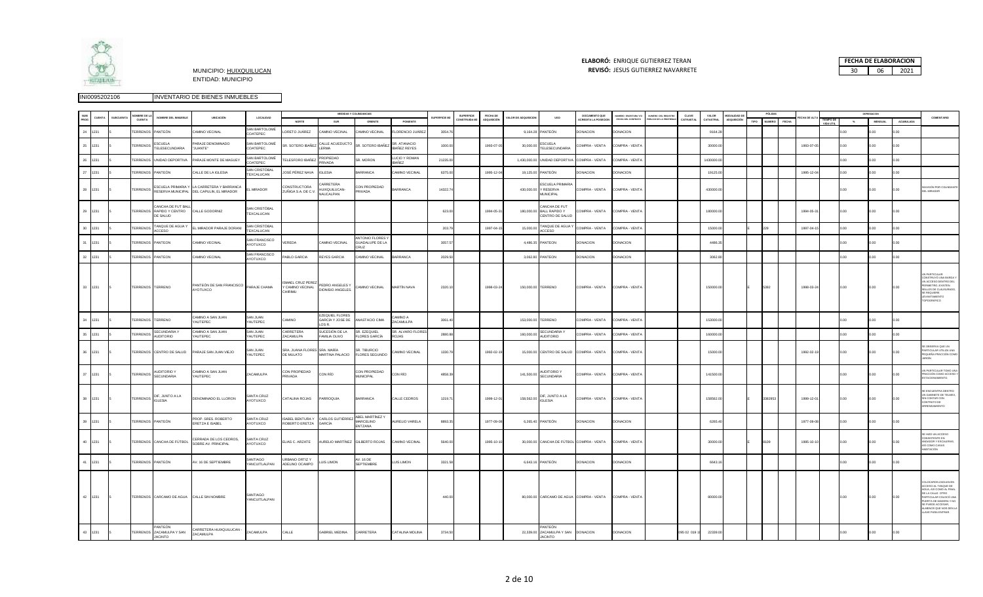

### **ELABORÓ:** ENRIQUE GUTIERREZ TERAN

| <b>ELABORÓ: ENRIQUE GUTIERREZ TERAN</b>                             | <b>FECHA DE ELABORACION</b> |    |      |
|---------------------------------------------------------------------|-----------------------------|----|------|
| <b>REVISÓ: JESUS GUTIERREZ NAVARRETE</b><br>MUNICIPIO: HUIXQUILUCAN | 30                          | റട | 2021 |

|    |         | MBRE DE I              |                                                            |                                                                      |                                           |                                                         |                                                    | MEDIDAS Y COLINDANCIAS                                        |                                     |              | <b>SUPERFICIE</b> | FECHA DE    |                     |                                                                 | DOCUMENTO QUE                 | UMERO ESCRITURA Y/C | MERO DEL REGISTRO   | CLAVE        | VALOR      | MODALIDAD F        |      | PÓLIZAS       |       |             |      | DEPRESIACION   |           |                                                                                                                                                                                                                        |
|----|---------|------------------------|------------------------------------------------------------|----------------------------------------------------------------------|-------------------------------------------|---------------------------------------------------------|----------------------------------------------------|---------------------------------------------------------------|-------------------------------------|--------------|-------------------|-------------|---------------------|-----------------------------------------------------------------|-------------------------------|---------------------|---------------------|--------------|------------|--------------------|------|---------------|-------|-------------|------|----------------|-----------|------------------------------------------------------------------------------------------------------------------------------------------------------------------------------------------------------------------------|
|    |         | CUENTA                 | NOMBRE DEL INMUEBLE                                        | UBICACIÓN                                                            | LOCALIDAD                                 | NORTE                                                   | SUR                                                | ORIENTE                                                       | PONIENTE                            | SUPERFICIE M | DNSTRUIDA M       | ADQUISICIÓN | ALOR DE ADQUISICION | <b>USO</b>                                                      | CREDITA LA POSECIO            | FECHA DEL CONTRATO  | LICO DE LA PROPIEDA | CATRASTA     | CATASTRAL  | <b>IDQUISICIÓN</b> | TIPO | <b>NUMERO</b> | FECHA | ECHA DE ALT | $\%$ | <b>MENSUAL</b> | ACUMULADA | COMENTARIO                                                                                                                                                                                                             |
|    | 24 1231 | <b>TERRENOS</b>        | <b>PANTEÓN</b>                                             | AMINO VECINAL                                                        | SAN BARTOLOMÉ<br>COATEPEC                 | ORETO JUÁREZ                                            | AMINO VECINAL                                      | <b>CAMINO VECINAL</b>                                         | LORENCIO JUÁRE                      | 3054.7       |                   |             | 9,164.28            | ANTEÓN                                                          | DONACION                      | <b>DONACION</b>     |                     |              | 9164.28    |                    |      |               |       |             |      | 00             | 00        |                                                                                                                                                                                                                        |
| 25 | 1231    | TERRENOS               | ESCUELA<br>TELESECUNDARIA                                  | ARAJE DENOMINADO<br>"JUANTE"                                         | SAN BARTOLOMÉ<br>COATEPEC                 | <b>SR. SOTERO IBAÑEZ</b>                                | CALLE ACUEDUCTO<br>LERMA                           | SR. SOTERO IBAÑEZ                                             | SR. ATANACIO<br><b>IBAÑEZ REYES</b> | 1000.00      |                   | 1993-07-0   | 30,000.00           | ESCUELA<br>TELESECUNDARIA                                       | COMPRA - VENTA                | COMPRA - VENTA      |                     |              | 30000.00   |                    |      |               |       | 1993-07-05  | 00   | .00            | .00       |                                                                                                                                                                                                                        |
|    | 26 1231 |                        | TERRENOS UNIDAD DEPORTIVA                                  | PARAJE MONTE DE MAGUEY                                               | SAN BARTOLOMÉ<br>COATEPEC                 | ELESFORO IBAÑEZ                                         | PROPIEDAD<br>PRIVADA                               | SR. MORON                                                     | LUCIO Y ROMAN<br>BAÑEZ              | 21235.00     |                   |             | 1,430,000.00        | UNIDAD DEPORTIVA                                                | COMPRA - VENTA                | COMPRA - VENTA      |                     |              | 1430000.00 |                    |      |               |       |             |      | 00             |           |                                                                                                                                                                                                                        |
|    | 27 1231 | <b><i>TERRENOS</i></b> | <b>PANTEÓN</b>                                             | CALLE DE LA IGLESIA                                                  | <b>SAN CRISTÓBAL</b><br><b>EXCALUCAN</b>  | OSÉ PÉREZ NAVA                                          | GLESIA                                             | ARRANCA                                                       | AMINO VECINAL                       | 6375.00      |                   | 1995-12-0   | 19,125.00           | ANTEÓN                                                          | ONACION                       | <b>ONACION</b>      |                     |              | 19125.00   |                    |      |               |       | 1995-12-04  | .00  | .00            |           |                                                                                                                                                                                                                        |
| 28 | 1231    | <b>TERRENOS</b>        | ESCUELA PRIMARIA Y                                         | LA CARRETERA Y BARRANCA<br>RESERVA MUNICIPAL DEL CAPULIN, EL MIRADOR | <b>MIRADOR</b>                            | CONSTRUCTORA<br>ZUÑIGA S.A. DE C.V.                     | ARRETERA<br>HUIXQUILUCAN-<br><b>JAUCALPAN</b>      | CON PROPIEDAD<br><b>PRIVADA</b>                               | ARRANCA                             | 14322.74     |                   |             | 430,000.00          | ESCUELA PRIMARIA<br>Y RESERVA<br><b>MUNICIPAL</b>               | COMPRA - VENTA                | COMPRA - VENTA      |                     |              | 430000.00  |                    |      |               |       |             | .00  | .00            | .00       | <b>VASIÓN POR COLINDANTE</b><br>EL MIRADOR                                                                                                                                                                             |
|    | 29 1231 |                        | CANCHA DE FUT BALL<br>TERRENOS RAPIDO Y CENTRO<br>DE SALUD | CALLE GODORNIZ                                                       | SAN CRISTÓRAL<br>TEXCALUCAN               |                                                         |                                                    |                                                               |                                     | 623.00       |                   | 1994-05-31  |                     | ANCHA DE FUT<br>180,000.00 BALL RAPIDO Y<br>CENTRO DE SALUD     | COMPRA - VENTA                | COMPRA - VENTA      |                     |              | 180000.00  |                    |      |               |       | 1994-05-31  | 0.00 | 0.00           | 0.00      |                                                                                                                                                                                                                        |
|    | 30 1231 | <b>TERRENOS</b>        | TANQUE DE AGUA Y<br>ACCESO                                 | EL MIRADOR PARAJE DORANI                                             | SAN CRISTÓRAL<br><b><i>TEXCALUCAN</i></b> |                                                         |                                                    |                                                               |                                     | 203.79       |                   | 1997-04-1   | 15,000.00           | TANQUE DE AGUA Y<br>ACCESO                                      | COMPRA - VENTA                | COMPRA - VENTA      |                     |              | 15000.00   |                    |      | $229 -$       |       | 1997-04-15  |      |                |           |                                                                                                                                                                                                                        |
|    | 31 1231 | TERRENOS PANTEON       |                                                            | CAMINO VECINAL                                                       | SAN FRANCISCO<br>AYOTUXCO                 | /EREDA                                                  | AMINO VECINAL                                      | <b>ANTONIO FLORES</b><br><b>SUADALUPE DE LA</b><br><b>RUZ</b> |                                     | 3057.57      |                   |             |                     | 4,486.35 PANTEON                                                | DONACION                      | DONACION            |                     |              | 4486.35    |                    |      |               |       |             | 0.00 | 00.            |           |                                                                                                                                                                                                                        |
|    | 32 1231 | TERRENOS PANTEON       |                                                            | CAMINO VECINAL                                                       | SAN FRANCISCO<br>COXUTOVA                 | ABLO GARCIA                                             | REYES GARCIA                                       | CAMINO VECINAL                                                | BARRANCA                            | 2029.50      |                   |             |                     | 3,062.80 PANTEON                                                | <b>DONACION</b>               | DONACION            |                     |              | 3062.80    |                    |      |               |       |             |      | .00            |           |                                                                                                                                                                                                                        |
|    | 33 1231 | TERRENOS TERRENO       |                                                            | PANTEÓN DE SAN FRANCISCO PARAJE CHAMA                                |                                           | <b>ISMAEL CRUZ PEREZ</b><br>Y CAMINO VECINAL<br>CHIRIMU | PEDRO ANGELES Y<br>DIONISIO ANGELES.               | CAMINO VECINAL                                                | MARTÍN NAVA                         | 2320.10      |                   | 1998-03-24  |                     | 150,000.00 TERRENO                                              | COMPRA - VENTA                | COMPRA - VENTA      |                     |              | 150000.00  |                    |      | 5392          |       | 1998-03-24  | 0.00 | 0.00           |           | <b>PARTICULAR</b><br>ONSTRUYÓ UNA BARDA<br>N ACCESO DENTRO DE<br>RIMETRO, EXISTEN<br>LLOS DE CLAUSURAD<br><b>E REQUIERE</b><br>EVANTAMIENTO<br>POGRÁFICO                                                               |
|    | 34 1231 | TERRENOS TERRENO       |                                                            | CAMINO A SAN JUAN<br><b>AUTEPEC</b>                                  | SAN JUAN<br>AUTEPEC                       | CAMINO                                                  | <b>EZEQUIEL FLORES</b><br>GARCÍA Y JOSE DE<br>OSR. | ANASTACIO CIMA                                                | A OWIMA:<br>ACAMULPA                | 3061.4       |                   |             |                     | 153,000.00 TERRENO                                              | COMPRA - VENTA                | COMPRA - VENTA      |                     |              | 153000.00  |                    |      |               |       |             | 00   | 00.            | 0.00      |                                                                                                                                                                                                                        |
|    | 35 1231 | <b>TERRENOS</b>        | <b>SECUNDARIA Y</b><br><b>AUDITORIO</b>                    | CAMINO A SAN JUAN<br><b>AUTEPEC</b>                                  | SAN JUAN<br>AUTEPEC                       | CARRETERA<br><b>ZACAMULPA</b>                           | SUCESIÓN DE LA<br>FAMILIA OLIVO                    | SR. EZEQUIEL<br><b>FLORES GARCÍA</b>                          | SR. ALVARO FLORE:<br><b>CALOS</b>   | 2880.88      |                   |             | 160,000.00          | <b>SECUNDARIA Y</b><br><b>AUDITORIO</b>                         | COMPRA - VENTA                | COMPRA - VENTA      |                     |              | 160000.00  |                    |      |               |       |             |      | 00             |           |                                                                                                                                                                                                                        |
|    | 36 1231 |                        | TERRENOS CENTRO DE SALUD                                   | PARAJE SAN JUAN VIEJO                                                | SAN JUAN<br>YAUTEPEC                      | SRA. JUANA FLORES SRA. MARÍA<br>DE MULATO               | MARTINA PALACIO                                    | SR. TIBURCIO<br><b>FLORES SEGUNDO</b>                         | CAMINO VECINAL                      | 1330.79      |                   | 1992-02-19  |                     | 15,000.00 CENTRO DE SALUD COMPRA - VENTA                        |                               | COMPRA - VENTA      |                     |              | 15000.00   |                    |      |               |       | 1992-02-19  | 0.00 | 0.00           | 0.00      | E OBSERVA QUE UN<br>RTICULAR UTILIZA UNA<br>EQUEÑA FRACCIÓN COMO                                                                                                                                                       |
| 37 | 1231    | <b>TERRENOS</b>        | <b>AUDITORIO Y</b><br>SECUNDARIA                           | CAMINO A SAN JUAN<br><b>AUTEPEC</b>                                  | ZACAMULPA                                 | CON PROPIEDAD<br>RIVADA                                 | CON RÍO                                            | CON PROPIEDAD<br><b>MUNICIPAL</b>                             | CON RÍO                             | 4858.39      |                   |             | 141,500.00          | AUDITORIO Y<br><b>SECUNDARIA</b>                                | COMPRA - VENTA                | COMPRA - VENTA      |                     |              | 141500.00  |                    |      |               |       |             | 0.00 | 00.            | າດດ       | PARTICULAR TOMO UNA<br>RACCIÓN COMO ACCESO Y<br>TACIONAMIENTO.                                                                                                                                                         |
|    | 38 1231 |                        | TERRENOS DIF, JUNTO A LA                                   | DENOMINADO EL LLORON                                                 | <b>SANTA CRUZ</b><br>AYOTUXCO             | CATALINA ROJAS                                          | PARROQUIA                                          | BARRANCA                                                      | CALLE CEDROS                        | 1219.71      |                   | 1999-12-01  | 158,562.00          | DIF, JUNTO A LA<br><b>IGLESIA</b>                               | COMPRA - VENTA COMPRA - VENTA |                     |                     |              | 158562.00  |                    |      | 3382953       |       | 1999-12-01  | 0.00 | 00.0           | 0.00      | E ENCUENTRA DENTRO<br>JN GABINETE DE TELMEX,<br><b>SIN CONTAR CON</b><br>ONTRATO DE<br>RENDAMIENTO                                                                                                                     |
|    | 39 1231 | TERRENOS PANTEÓN       |                                                            | PROP. SRES. ROBERTO<br>ERETZA E ISABEL                               | SANTA CRUZ<br>AYOTUXCO                    | <b>ISABEL BENTURA Y</b><br>ROBERTO ERETZA               | CARLOS GUTIÉRREZ<br>GARCÍA                         | ABEL MARTÍNEZ Y<br><b>MARCELINO</b><br>ENTZANA                | AURELIO VARELA                      | 8893.35      |                   | 1977-09-08  |                     | 6,265.40 PANTEÓN                                                | <b>DONACION</b>               | <b>DONACION</b>     |                     |              | 6265.40    |                    |      |               |       | 1977-09-08  | 0.00 | .00            | 0.00      |                                                                                                                                                                                                                        |
|    | 40 1231 |                        | TERRENOS CANCHA DE FÚTBOL                                  | CERRADA DE LOS CEDROS.<br>SOBRE AV. PRINCIPAL                        | SANTA CRUZ<br>AYOTUXCO                    | ELIAS C. ARZATE                                         | AURELIO MARTÍNEZ GILBERTO ROJAS                    |                                                               | CAMINO VECINAL                      | 5640.00      |                   | 1995-10-10  |                     | 30,000.00 CANCHA DE FÚTBOL COMPRA - VENTA                       |                               | COMPRA - VENTA      |                     |              | 30000.00   |                    |      | 8109          |       | 1995-10-10  | 0.00 | 00.0           | າດດ       | HIZO UN ACCESO<br>ONSISTENTE EN<br>NDADOR Y ESCALERAS,<br>SÍ COMO CASAS<br>ABITACIÓN                                                                                                                                   |
|    | 41 1231 | TERRENOS PANTEÓN       |                                                            | AV. 16 DE SEPTIEMBRE                                                 | SANTIAGO<br>YANCUITLALPAN                 | <b>JRBANO ORTIZ Y</b><br>ADELINO OCAMPO                 | <b>UIS LIMON</b>                                   | AV. 16 DE<br>SEPTIEMBRE                                       | LUIS LIMON                          | 3321.58      |                   |             |                     | 6,643.16 PANTEÓN                                                | <b>DONACION</b>               | <b>DONACION</b>     |                     |              | 6643.16    |                    |      |               |       |             | ) ሰሰ | 00.            |           |                                                                                                                                                                                                                        |
|    | 42 1231 |                        | TERRENOS CARCAMO DE AGUA                                   | CALLE SIN NOMBRE                                                     | SANTIAGO<br><b>YANCUITI AI PAN</b>        |                                                         |                                                    |                                                               |                                     | 440.00       |                   |             |                     | 80,000.00 CARCAMO DE AGUA COMPRA - VENTA COMPRA - VENTA         |                               |                     |                     |              | 80000.00   |                    |      |               |       |             | 0.00 | 0.00           | 00        | OLOCARON ZAGUAN EN<br>CESO AL TANQUE DE<br><b>IGUA. ASÍ COMO AL FINAL</b><br>LA CALLE OTRO<br><b>RTICULAR COLOCÓ UN</b><br><b>UERTA DE MADERA Y NO</b><br>PUEDE ACCESAR,<br>LMENOS QUE NOS DEN LA<br>LAVE PARA ENTRAR. |
| 43 | 1231    |                        | 'ANTEÓN<br>TERRENOS ZACAMULPA Y SAN<br><b>JACINTO</b>      | CARRETERA HUIXQUILUCAN -<br>ZACAMULPA                                | ZACAMULPA                                 | CALLE                                                   | <b>GABRIEL MEDINA</b>                              | CARRETERA                                                     | <b>CATALINA MOLINA</b>              | 3734.50      |                   |             |                     | PANTEÓN<br>22,339.00 ZACAMULPA Y SAN DONACION<br><b>JACINTO</b> |                               | <b>DONACION</b>     |                     | 095 02 019 1 | 22339.00   |                    |      |               |       |             |      |                |           |                                                                                                                                                                                                                        |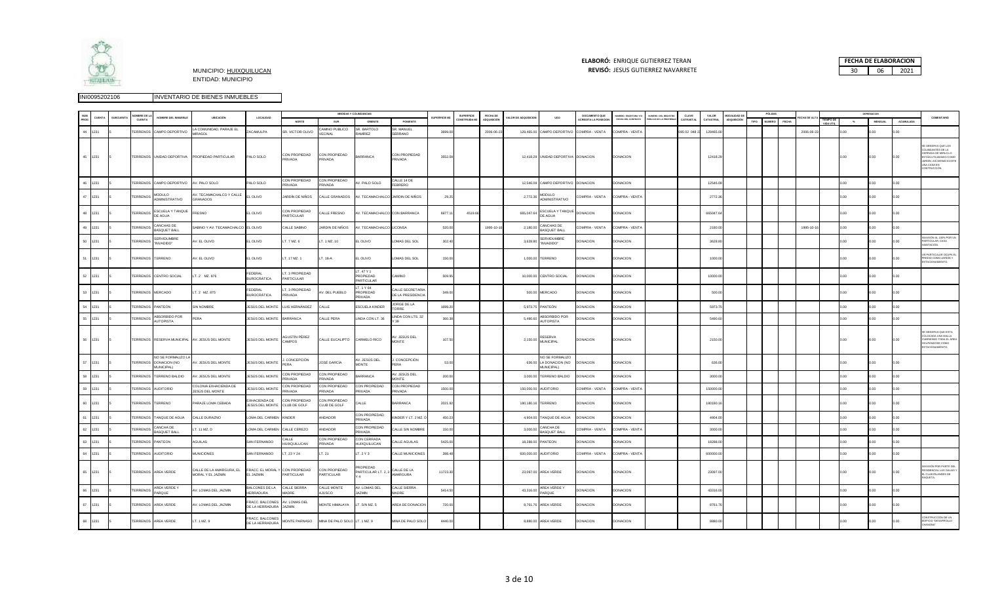

## **ELABORÓ:** ENRIQUE GUTIERREZ TERAN



|        |              | OMBRE DE L         |                                                                 |                                                |                                          |                                               |                                        | MEDIDAS Y COLINDANCIAS                     |                                       |                     | SUPERFICIE   | FECHA DE  |                    |                                                  | DOCUMENTO QUE              | NJMERO ESCRITURA YA | NUMERO DEL REGISTRO | CLAVE        | VALOR     | MODALIDAD D |      | PÓLIZAS |       |            |                        |      | DEPRESIACIO     |           |                                                                                                                                        |
|--------|--------------|--------------------|-----------------------------------------------------------------|------------------------------------------------|------------------------------------------|-----------------------------------------------|----------------------------------------|--------------------------------------------|---------------------------------------|---------------------|--------------|-----------|--------------------|--------------------------------------------------|----------------------------|---------------------|---------------------|--------------|-----------|-------------|------|---------|-------|------------|------------------------|------|-----------------|-----------|----------------------------------------------------------------------------------------------------------------------------------------|
|        | <b>CUENT</b> | <b>CUENTA</b>      | NOMBRE DEL INMUEBLE                                             | UBICACIÓN                                      | LOCALIDAD                                | NORTE                                         | SUR                                    | ORIENTE                                    | PONIENTE                              | <b>SUPERFICIE M</b> | CONSTRUIDA M | nousició  | ALOR DE ADQUISICIO | <b>USO</b>                                       | <b>ACREDITA LA POSECIO</b> | FECHA DEL CONTRAT   | BLICO DE LA PROPIE  | CATRASTAL    | CATASTRAL | ADQUISICIÓN | TIPO | NUMERO  | FECHA |            | TIEMPO DE<br>VIDA UTIL |      | <b>MENSUAL</b>  | ACUMULADA | COMENTARIO                                                                                                                             |
| 44     | 1231         | TERRENOS           | CAMPO DEPORTIVO                                                 | LA COMUNIDAD, PARAJE EL<br><b>MIRASOL</b>      | <b>ACAMULPA</b>                          | R. VICTOR OLIVO                               | <b>CAMINO PUBLICO</b><br><b>FCINAL</b> | SR. BARTOLO<br>:AMÍREZ                     | SR. MANUEL<br>SERRANO                 | 3699.00             |              | 2006-06-2 | 129,465.00         | CAMPO DEPORTIVO                                  | COMPRA - VENTA             | OMPRA - VENT        |                     | 095 02 048 2 | 129465.00 |             |      |         |       | 2006-06-23 |                        |      |                 | 00.0      |                                                                                                                                        |
|        | 45 1231      |                    | TERRENOS UNIDAD DEPORTIVA                                       | PROPIEDAD PARTICULAR                           | PALO SOLO                                | CON PROPIEDAD<br>PRIVADA                      | CON PROPIEDAD<br>PRIVADA               | BARRANCA                                   | CON PROPIEDAD<br><b>PRIVADA</b>       | 3552.08             |              |           |                    | 12,418.29 UNIDAD DEPORTIVA DONACION              |                            | <b>DONACION</b>     |                     |              | 12418.29  |             |      |         |       |            |                        | 0.00 | 0.00            | 0.00      | OBSERVA QUE LOS<br>OLINDANTES DE LA<br>ERRADA DE MIRLO LO<br>TÁN UTILIZANDO COM<br>RDÍN, ASÍ MISMO EXIST<br>INA CASA EN<br>ONTRUCCIÓN. |
| 46     | 1231         |                    | TERRENOS CAMPO DEPORTIVO                                        | AV PALO SOLO                                   | ALO SOLO                                 | ON PROPIEDAD<br>ACAVIR                        | CON PROPIEDAD<br><b>RIVADA</b>         | V. PALO SOLO                               | CALLE 14 DE<br>EBRERO                 |                     |              |           | 12.546.09          | CAMPO DEPORTIVO DONACION                         |                            | DONACION            |                     |              | 12546.09  |             |      |         |       |            |                        |      | 00              | n on      |                                                                                                                                        |
|        | 47 1231      | <b>TERRENOS</b>    | <b>MODULO</b><br><b>DMINISTRATIVO</b>                           | AV. TECAMACHALCO Y CALLE<br>GRANADOS           | L OLIVO                                  | JARDÍN DE NIÑOS                               | CALLE GRANADOS                         |                                            | V. TECAMACHALCO JARDIN DE NIÑOS       | 29.25               |              |           | 2,772.36           | <b>MODULO</b><br>ADMINISTRATIVO                  | COMPRA - VENTA             | COMPRA - VENT       |                     |              | 2772.36   |             |      |         |       |            |                        | 0.00 | 00              | 0.00      |                                                                                                                                        |
| 48     | 1231         | <b>TERRENOS</b>    | ESCUELA Y TANQUE<br>DE AGUA                                     | FRESNO                                         | EL OLIVO                                 | CON PROPIEDAD<br>PARTICULAR                   | CALLE FRESNO                           | V. TECAMACHALCO CON BARRANCA               |                                       | 6977.1              | 4519.66      |           | 665,047.64         | ESCUELA Y TANQUE<br>DE AGUA                      | <b>DONACION</b>            | <b>DONACION</b>     |                     |              | 665047.64 |             |      |         |       |            |                        | 00.0 | 00.             | 0.00      |                                                                                                                                        |
| 49     | 1231         | TERRENOS           | ANCHAS DE<br><b>ASQUET BALL</b>                                 | SABINO Y AV. TECAMACHALCO                      | EL OLIVO                                 | ALLE SABINO                                   | JARDIN DE NIÑOS                        | V. TECAMACHALCO                            | <b>LICONSA</b>                        | 520.00              |              | 1995-10-1 | 2.180.00           | <b>CANCHAS DE</b><br><b>BASQUET BALL</b>         | COMPRA - VENTA             | COMPRA - VENT       |                     |              | 2180.00   |             |      |         |       | 1995-10-1  |                        | 0.00 | 00 <sub>1</sub> | 0.00      |                                                                                                                                        |
| 50     | 1231         | TERRENOS           | SERVIDUMBRE<br>"INVADIDO"                                       | AV. EL OLIVO                                   | L OLIVO                                  | T. 7 MZ. 6                                    | T. 1 MZ. 10                            | EL OLIVO                                   | OMAS DEL SOL                          | 302.40              |              |           | 3,628.80           | SERVIDUMBRE<br>"INVADIDO"                        | DONACION                   | DONACION            |                     |              | 3628.80   |             |      |         |       |            |                        | 0.00 | .00             | 0.00      | WASIÓN AL 100% POR UN<br>RTICULAR, CASA<br><b>RITACIÓN</b>                                                                             |
|        | 51 1231      | TERRENOS TERRENO   |                                                                 | AV. EL OLIVO                                   | EL OLIVO                                 | T. 17 MZ. 1                                   | T. 18-A                                | EL OLIVO                                   | OMAS DEL SOL                          | 150.00              |              |           |                    | 1,000.00 TERRENO                                 | DONACION                   | DONACION            |                     |              | 1000.00   |             |      |         |       |            |                        | 0.00 | .00             | 0.00      | PARTICULAR OCUPA I<br>DIO COMO JARDÍN Y<br><b>OTACIONAMIENTO</b>                                                                       |
|        | 52 1231      |                    | TERRENOS CENTRO SOCIAL                                          | LT. 2 MZ. 876                                  | EDERAL<br><b>BUROCRÁTICA</b>             | T. 3 PROPIEDAD<br>PARTICULAR                  |                                        | IT 47 Y 1<br>PROPIEDAD<br><b>ARTICULAR</b> | <b>CAMINO</b>                         | 509.95              |              |           |                    | 10,000.00 CENTRO SOCIAL                          | DONACION                   | DONACION            |                     |              | 10000.00  |             |      |         |       |            |                        | 0.00 | 00.0            | 0.00      |                                                                                                                                        |
| $53 -$ | 1231         | TERRENOS MERCADO   |                                                                 | LT. 2 MZ. 875                                  | <b>FDERAL</b><br><b>UROCRÁTICA</b>       | T. 3 PROPIEDAD<br><b>RIVADA</b>               | AV. DEL PUEBLO                         | LT. 1 Y 64<br>PROPIEDAD<br>AOAVIRS         | CALLE SECRETARIA<br>DE LA PRESIDENCIA | 349.0               |              |           |                    | 500.00 MERCADO                                   | <b>DONACION</b>            | <b>DONACION</b>     |                     |              | 500.00    |             |      |         |       |            |                        | 0.00 | 00              | 000       |                                                                                                                                        |
| 54     | 1231         | <b>TERRENOS</b>    | PANTEÓN                                                         | SIN NOMBRE                                     | IESÚS DEL MONTE                          | LUIS HERNÁNDEZ                                | CALLE                                  | <b>SCUELA KINDER</b>                       | JORGE DE LA<br>ORRE                   | 1699.2              |              |           | 597375             | PANTEÓN                                          | DONACION                   | <b>DONACION</b>     |                     |              | 59737     |             |      |         |       |            |                        |      | . nn            | 0.00      |                                                                                                                                        |
|        | 55 1231      | <b>TERRENOS</b>    | ABSORBIDO POR<br>AUTOPISTA                                      | PERA                                           | <b>ESÚS DEL MONTE</b>                    | <b>BARRANCA</b>                               | CALLE PERA                             | LINDA CON LT. 36                           | INDA CON LTS. 32                      | 360.38              |              |           | 5,490.60           | ABSORBIDO POR<br><b>AUTOPISTA</b>                | DONACION                   | DONACION            |                     |              | 5490.60   |             |      |         |       |            |                        | 0.00 | 0.00            | 0.00      |                                                                                                                                        |
|        | 56 1231      |                    |                                                                 | TERRENOS RESERVA MUNICIPAL AV. JESÚS DEL MONTE | JESÚS DEL MONTE                          | AGUSTÍN PÉREZ<br>CAMPOS.                      | CALLE EUCALIPTO                        | CARMELO RICO                               | V. JESÚS DEL<br><b>MONTE</b>          | 107.50              |              |           | 2,150.00           | RESERVA<br><b>MUNICIPAL</b>                      | DONACION                   | DONACION            |                     |              | 2150.00   |             |      |         |       |            |                        |      | .00             |           | OBSERVA QUE ESTA<br>LOCADA UNA MALLA<br>BRIENDO TODA EL ÁRE<br><b>CUPÁNDOSE COMC</b><br><b>STACIONAMIENTO</b>                          |
| 57     | 1231         |                    | NO SE FORMALIZO L<br>TERRENOS DONACIÓN (NO<br><b>MUNICIPAL)</b> | AV. JESÚS DEL MONTE                            | <b>IESÚS DEL MONTE</b>                   | CONCEPCIÓN<br>PERA                            | JOSÉ GARCÍA                            | V. JESÚS DEL<br>MONTE                      | CONCEPCIÓN<br><b>ERA</b>              | 53.00               |              |           | 636.00             | NO SE FORMALIZO<br>LA DONACION (NO<br>MUNICIPAL) | <b>DONACION</b>            | DONACION            |                     |              | 636.0     |             |      |         |       |            |                        |      | 0.00            | 0.00      |                                                                                                                                        |
| 58     | 231          | TERRENOS           | TERRENO BALDIO                                                  | AV. JESÚS DEL MONTE                            | ESÚS DEL MONTE                           | ON PROPIEDAD<br>ANANR                         | CON PROPIEDAD<br>RIVADA                | ARRANCA                                    | V. JESÚS DEL<br><b>IONTE</b>          | 200.0               |              |           | 3,000.00           | TERRENO BALDIO                                   | <b>DONACION</b>            | <b>ONACION</b>      |                     |              | 3000.0    |             |      |         |       |            |                        |      |                 |           |                                                                                                                                        |
|        | 59 1231      | <b>TERRENOS</b>    | <b>AUDITORIO</b>                                                | COLONIA EXHACIENDA DE<br>JESÚS DEL MONTE       | ESÚS DEL MONTE                           | CON PROPIEDAD<br><b>RIVADA</b>                | CON PROPIEDAD<br>PRIVADA               | CON PROPIEDAD<br><b>RIVADA</b>             | CON PROPIEDAD<br>RIVADA               | 1500.00             |              |           | 150,000.00         | <b>AUDITORIO</b>                                 | COMPRA - VENTA             | COMPRA - VENTA      |                     |              | 150000.00 |             |      |         |       |            |                        | 0.00 | 0.00            | 0.00      |                                                                                                                                        |
| 60     | 1231         | TERRENOS TERRENO   |                                                                 | PARAJE LOMA CEBADA                             | XHACIENDA DE<br>ESÚS DEL MONTE           | CON PROPIEDAD<br>CLUB DE GOLF                 | CON PROPIEDAD<br>CLUB DE GOLF          | ALLE                                       | <b>ARRANCA</b>                        | 2021.92             |              |           | 180,180.16         | TERRENO                                          | DONACION                   | DONACION            |                     |              | 180180.16 |             |      |         |       |            |                        | 0.00 | 0.00            | 0.00      |                                                                                                                                        |
|        | 61 1231      |                    | TERRENOS TANQUE DE AGUA                                         | CALLE DURAZNO                                  | LOMA DEL CARMEN KINDER                   |                                               | ANDADOR                                | CON PROPIEDAD<br><b>RIVADA</b>             | (INDER Y LT. 2 MZ.                    | 450.23              |              |           | 4,904.00           | TANQUE DE AGUA                                   | <b>DONACION</b>            | DONACION            |                     |              | 4904.00   |             |      |         |       |            |                        | OO C | 00.0            | 0.00      |                                                                                                                                        |
| 62     | 1231         | TERRENOS           | ANCHA DE<br>ASOUFT BALL                                         | T. 11 MZ. D                                    | OMA DEL CARMEN                           | CALLE CEREZO                                  | NDADOR                                 | CON PROPIEDAD<br><b>RIVADA</b>             | ALLE SIN NOMBRE                       | 150.00              |              |           | 3,000.00           | <b>CANCHA DE</b><br><b>BASQUET BALI</b>          | COMPRA - VENTA             | OMPRA - VENT        |                     |              | 3000.00   |             |      |         |       |            |                        |      |                 |           |                                                                                                                                        |
| $63 -$ | 1231         | <b>TERRENOS</b>    | PANTEON                                                         | AGUILAS                                        | <b>SAN FERNANDO</b>                      | ALLE<br><b>IUIXQUILUCAN</b>                   | CON PROPIEDAD<br>PRIVADA               | CON CERRADA<br>HUIXQUILUCAN                | ALLE AGUILAS                          | 5425.00             |              |           | 18,288.00          | PANTEON                                          | DONACION                   | DONACION            |                     |              | 18288.00  |             |      |         |       |            |                        | 0.00 | 00 <sub>1</sub> | 0.00      |                                                                                                                                        |
|        | 64 1231      | TERRENOS AUDITORIO |                                                                 | <b>MUNICIONES</b>                              | SAN FERNANDO                             | T. 23 Y 24                                    | LT. 21                                 | T. 2 Y 3                                   | ALLE MUNICIONES                       | 398.48              |              |           |                    | 600,000.00 AUDITORIO                             | COMPRA - VENTA             | COMPRA - VENTA      |                     |              | 600000.00 |             |      |         |       |            |                        | 0.00 | 00.0            | 0.00      |                                                                                                                                        |
|        | 65 1231      |                    | TERRENOS AREA VERDE                                             | CALLE DE LA AMARGURA, EL<br>MORAL Y EL JAZMIN  | L JAZMIN                                 | FRACC. EL MORAL Y CON PROPIEDAD<br>PARTICULAR | CON PROPIEDAD<br>PARTICULAR            | ROPIEDAD<br>PARTICULAR LT. 2.              | ALLE DE LA<br>AMARGURA                | 11723.30            |              |           |                    | 23,097.00 AREA VERDE                             | <b>DONACION</b>            | <b>DONACION</b>     |                     |              | 23097.00  |             |      |         |       |            |                        | 0.00 | .00.            | 0.00      | <b>ASIÓN POR PARTE DEL</b><br>IDENCIAL LAS GALIAS Y<br>L CLUB IRLANDES DE                                                              |
|        | 66 1231      | <b>TERRENOS</b>    | AREA VERDE Y<br>PARQUE                                          | AV. LOMAS DEL JAZMIN                           | ALCONES DE LA<br><b>ERRADURA</b>         | CALLE SIERRA<br>MADRE                         | CALLE MONTE<br>AJUSCO                  | AV. LOMAS DEL<br><b>AZMIN</b>              | CALLE SIERRA<br><b>IADRE</b>          | 5414.50             |              |           | 43,316.00          | AREA VERDE Y<br>PARQUE                           | DONACION                   | DONACION            |                     |              | 43316.00  |             |      |         |       |            |                        | 0.00 | 0.00            | 0.00      |                                                                                                                                        |
|        | 67 1231      |                    | TERRENOS AREA VERDE                                             | AV. LOMAS DEL JAZMIN                           | RACC. BALCONES<br>DE LA HERRADURA JAZMIN | V. LOMAS DEL                                  | MONTE HIMALAYA                         | T. S/N MZ. 5                               | AREA DE DONACION                      | 720.00              |              |           |                    | 8,761.76 AREA VERDE                              | DONACION                   | DONACION            |                     |              | 8761.76   |             |      |         |       |            |                        | ነ ሰሰ | 00              | 0.00      |                                                                                                                                        |
|        | 68 1231      |                    | TERRENOS AREA VERDE                                             | LT. 1 MZ. 9                                    | FRACC. BALCONES<br>DE LA HERRADURA       | MONTE PARNASO                                 | MINA DE PALO SOLO LT. 1 MZ. 9          |                                            | <b>IINA DE PALO SOLO</b>              | 4440.00             |              |           |                    | 8,880.00 AREA VERDE                              | DONACION                   | <b>DONACION</b>     |                     |              | 8880.00   |             |      |         |       |            |                        |      |                 |           | NSTRUCCIÓN DE UN<br><b>ICIO "DESARROLLI</b>                                                                                            |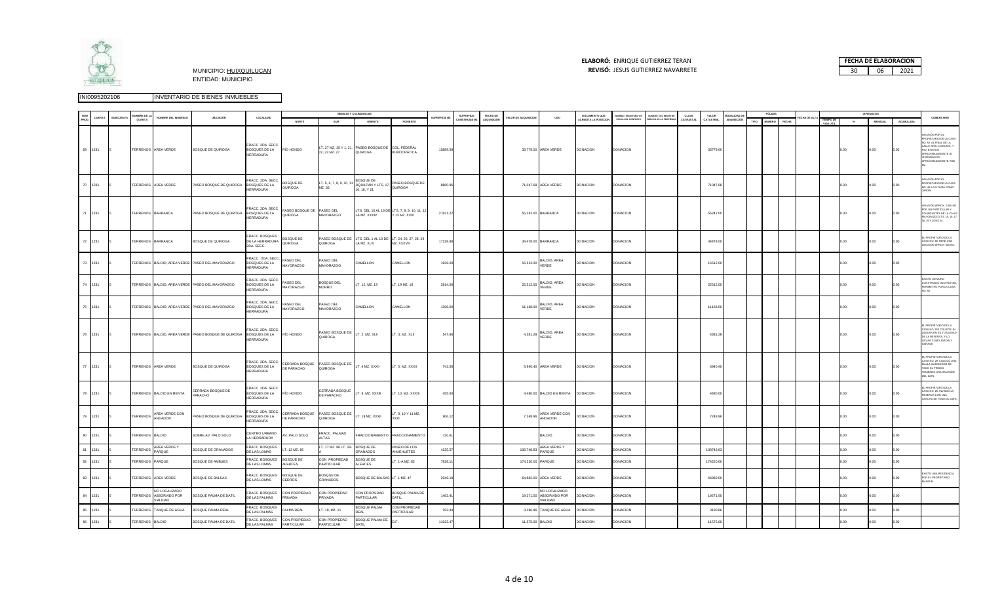

# **ELABORÓ:** ENRIQUE GUTIERREZ TERAN



| <b>NUM</b> |         |                | <b>VOMBRE DE LA</b> |                                                 |                                                     |                                                       |                                      |                                                | MEDIDAS Y COLINDANCIAS                                                    |                                   |                      | <b>SUPERFICIE</b> | FECHA DE           |                    |                                                  | DOCUMENTO QUE               | NUMERO ESCRITURA Y/C | NUMERO DEL REGISTRO   | <b>CLAVE</b> | VALOR     | <b>MODALIDAD DE</b> |      | PÓLIZAS       |              |                        |       | DEPRESIACIO    |           |                                                                                                                                                         |
|------------|---------|----------------|---------------------|-------------------------------------------------|-----------------------------------------------------|-------------------------------------------------------|--------------------------------------|------------------------------------------------|---------------------------------------------------------------------------|-----------------------------------|----------------------|-------------------|--------------------|--------------------|--------------------------------------------------|-----------------------------|----------------------|-----------------------|--------------|-----------|---------------------|------|---------------|--------------|------------------------|-------|----------------|-----------|---------------------------------------------------------------------------------------------------------------------------------------------------------|
| PROG       | CUENTA  | <b>SUBCUEN</b> | CUENTA              | NOMBRE DEL INMUEBLE                             | UBICACIÓN                                           | LOCALIDAD                                             | NORTE                                | SUR                                            | ORIENTE                                                                   | PONIENTE                          | <b>IUPERFICIE MI</b> | CONSTRUIDA M      | <b>ADQUISICIÓN</b> | ALOR DE ADQUISICIO | <b>USO</b>                                       | <b>ACREDITA LA POSECION</b> | FECHA DEL CONTRATO   | ÚBLICO DE LA PROPIEDA | CATRASTAL    | CATASTRAL | ADQUISICIÓN         | TIPO | <b>NUMERO</b> | <b>FECHA</b> | TIEMPO DE<br>VIDA UTIL | $-26$ | <b>MENSUAL</b> | ACUMULADA | COMENTARIO                                                                                                                                              |
|            | 69 1231 |                |                     | TERRENOS AREA VERDE                             | BOSQUE DE QUIROGA                                   | FRACC, 2DA, SECC<br><b>BOSQUES DE LA</b><br>HERRADURA | RÍO HONDO                            | 22, 23 MZ. 27                                  | LT. 27 MZ. 25 Y 1, 21, PASEO BOSQUE DE COL. FEDERAL<br>QUIROGA            | <b>BUROCRÁTICA</b>                | 15889.59             |                   |                    |                    | 33,779.00 AREA VERDE                             | <b>DONACION</b>             | <b>DONACION</b>      |                       |              | 33779.00  |                     |      |               |              |                        | 0.00  | 0.00           |           | ASIÓN POR EL<br>ROPIETARIO DE LA CASA<br>.52. AL FINAL DE LA<br>ALLE SRIA, COMUNIC, Y<br>O, EXISTEN<br>ROXIMADAMENTE 30<br>VIENDAS EN<br>XIMADAMENTE 70 |
|            | 70 1231 |                |                     | TERRENOS AREA VERDE                             | PASEO BOSQUE DE QUIROGA                             | RACC 2DA SECC<br>BOSQUES DE LA<br>HERRADURA           | BOSQUE DE<br>QUIROGA                 | LT. 5, 6, 7, 8, 9, 10, 11<br>MZ. 35.           | BOSQUE DE<br>JIQUILPAN Y LTS. 17,<br>16, 18, Y 21                         | PASEO BOSQUE DE<br>QUIROGA        | 8880.96              |                   |                    |                    | 71,047.68 AREA VERDE                             | <b>DONACION</b>             | DONACION             |                       |              | 71047.68  |                     |      |               |              |                        | 0.00  | .00            |           | SIÓN POR EL<br>ROPIETARIO DE LA CASA<br>O. 49, LO UTILIZA COMO                                                                                          |
|            | 71 1231 |                |                     | TERRENOS BARRANCA                               | PASEO BOSQUE DE QUIROGA BOSQUES DE LA               | FRACC. 2DA. SECC.<br>HERRADURA                        | PASEO BOSQUE DE PASEO DEL<br>QUIROGA | MAYORAZGO                                      | LTS. DEL 10 AL 19 DE LTS. 7, 8, 9, 10, 11, 1<br>LA MZ. XXXIV              | Y 13 MZ. XXIX                     | 27621.22             |                   |                    |                    | 55,242.00 BARRANCA                               | <b>DONACION</b>             | <b>DONACION</b>      |                       |              | 55242.00  |                     |      |               |              |                        | 0.00  | 0.00           |           | ASIÓN APROX, 2.000 M2<br>OR UN PARTICULAR Y<br>OLINDANTES DE LA CALLE<br>AYORAZGO LTS. 15, 16, 17,<br>18, 19 Y 20 MZ.34.                                |
|            | 72 1231 |                |                     | TERRENOS BARRANCA                               | BOSQUE DE QUIROGA                                   | FRACC. BOSQUES<br>DE LA HERRADURA<br>2DA. SECC.       | BOSQUE DE<br>QUIROGA                 | QUIROGA                                        | PASEO BOSQUE DE LTS. DEL 1 AL 10 DE LT. 24, 26, 27, 28, 29<br>LA MZ. XLIV | MZ. XXXVIII                       | 17238.88             |                   |                    |                    | 34,478.00 BARRANCA                               | <b>DONACION</b>             | <b>DONACION</b>      |                       |              | 34478.00  |                     |      |               |              |                        | 0.00  | 00             |           | PROPIETARIO DE LA<br>ASA NO. 65 TIENE UNA<br>VASIÓN APROX. 600 M2.                                                                                      |
|            | 73 1231 |                |                     |                                                 | TERRENOS BALDIO, AREA VERDE PASEO DEL MAYORAZGO     | RACC. 2DA SECC.<br>BOSQUES DE LA<br>HERRADURA         | PASEO DEL<br>MAYORAZGO               | PASEO DEL<br>MAYORAZGO                         | CAMELLON                                                                  | CAMELLON                          | 1939.00              |                   |                    | 15,512.00          | BALDIO, AREA<br>VERDE                            | <b>DONACION</b>             | <b>DONACION</b>      |                       |              | 15512.00  |                     |      |               |              |                        |       |                |           |                                                                                                                                                         |
|            | 74 1231 |                |                     |                                                 | TERRENOS BALDIO, AREA VERDE PASEO DEL MAYORAZGO     | RACC. 2DA. SECC.<br>BOSQUES DE LA<br>HERRADURA        | PASEO DEL<br>MAYORAZGO               | BOSQUE DEL<br><b>MORRO</b>                     | LT. 12, MZ. 19                                                            | LT. 19 MZ. 18                     | 2814.00              |                   |                    | 22,512.00          | BALDIO, AREA<br>VERDE                            | <b>DONACION</b>             | <b>DONACION</b>      |                       |              | 22512.00  |                     |      |               |              |                        | ი იი  |                |           | <b>ORIUM MITRO</b><br>ONSTRUIDO DENTRO DE<br>ERIMETRO POR LA CASA                                                                                       |
|            | 75 1231 |                |                     |                                                 | TERRENOS BALDIO, AREA VERDE PASEO DEL MAYORAZGO     | RACC. 2DA. SECC<br>BOSQUES DE LA<br>HERRADURA         | PASEO DEL<br>MAYORAZGO               | PASEO DEL<br>MAYORAZGO                         | CAMELLON                                                                  | CAMELLON                          | 1396.00              |                   |                    | 11,168.00          | BALDIO, AREA<br>VERDE                            | <b>DONACION</b>             | <b>DONACION</b>      |                       |              | 11168.00  |                     |      |               |              |                        | 0.00  | 00             | n on      |                                                                                                                                                         |
|            | 76 1231 |                |                     |                                                 | TERRENOS BALDIO, AREA VERDE PASEO BOSQUE DE QUIROGA | FRACC. 2DA. SECC<br><b>BOSQUES DE LA</b><br>HERRADURA | RÍO HONDO                            | PASEO BOSQUE DE LT. 2, MZ. XLII<br>QUIROGA     |                                                                           | LT. 3, MZ. XLII                   | 547.66               |                   |                    |                    | 4,381.28 BALDIO, AREA<br>VERDE                   | <b>DONACION</b>             | <b>DONACION</b>      |                       |              | 4381.28   |                     |      |               |              |                        | 0.00  | 00             |           | PROPIETARIO DE LA<br>ASA NO. 152 COLOCÓ UN<br><b>IGUAN EN SU TOTALIDAD</b><br>E LA RESERVA, Y LO<br>CUPA COMO JARDÍN Y                                  |
|            | 77 1231 |                |                     | TERRENOS AREA VERDE                             | BOSQUE DE QUIROGA                                   | FRACC, 2DA, SECC<br><b>BOSQUES DE LA</b><br>HERRADURA | CERRADA BOSQUE<br>DE PARACHO         | PASEO BOSQUE DE<br>QUIROGA                     | LT. 4 MZ. XXXII                                                           | LT. 5, MZ. XXXII                  | 742.56               |                   |                    |                    | 5,940.40 AREA VERDE                              | DONACION                    | <b>DONACION</b>      |                       |              | 5940.40   |                     |      |               |              |                        |       |                |           | PROPIETARIO DE LA<br>SA NO. 29, COLOCÓ UN<br>ALLA ALREDEDOR DE<br>ODO EL PREDIO,<br>ENIENDO UNA INVASIÓN<br>EL 100%.                                    |
|            | 78 1231 |                |                     | TERRENOS BALDIO EN RENTA                        | CERRADA BOSQUE DE<br>PARACHO                        | FRACC. 2DA. SECC.<br>BOSQUES DE LA<br>HERRADURA       | RÍO HONDO                            | CERRADA BOSQUE LT. 9, MZ. XXXIII<br>DE PARACHO |                                                                           | T. 10, MZ. XXXIII                 | 455.60               |                   |                    |                    | 4,480.00 BALDIO EN RENTA DONACION                |                             | <b>DONACION</b>      |                       |              | 4480.00   |                     |      |               |              |                        | 0.00  | 0.00           |           | PROPIETARIO DE LA<br>ASA NO. 20, INVADIÓ LA<br>ESERVA CON UNA<br>ANCHA DE TENIS AL 100%                                                                 |
|            | 79 1231 |                |                     | TERRENOS AREA VERDE CON                         | PASEO BOSQUE DE QUIROGA                             | RACC. 2DA. SECC.<br><b>BOSQUES DE LA</b><br>HERRADURA | CERRADA BOSQUE<br>DE PARACHO         | PASEO BOSQUE DE LT. 19 MZ. XXXII<br>QUIROGA    |                                                                           | T. 9, 10 Y 11 MZ.                 | 906.12               |                   |                    |                    | 7,248.96 AREA VERDE CON<br>ANDADOR               | <b>DONACION</b>             | <b>DONACION</b>      |                       |              | 7248.96   |                     |      |               |              |                        | 0.00  | 00             |           |                                                                                                                                                         |
| 80         | 1231    |                | TERRENOS BALDIO     |                                                 | SOBRE AV. PALO SOLO                                 | CENTRO URBANO<br>LA HERRADURA                         | V. PALO SOLO                         | FRACC. PALMAS<br>LTAS                          | FRACCIONAMIENTO                                                           | FRACCIONAMIENTC                   | 720.61               |                   |                    |                    | BALDIO                                           | DONACION                    | <b>DONACION</b>      |                       |              |           |                     |      |               |              |                        | 0.00  | no             | 200       |                                                                                                                                                         |
| 81         | 1231    |                | TERRENOS            | AREA VERDE Y<br>ARQUE                           | BOSQUE DE GRANADOS                                  | FRACC. BOSQUES<br>DE LAS LOMAS                        | T. 13 MZ. 86                         | T. 17 MZ. 86 LT. 18-                           | <b>BOSQUE DE</b><br><b>GRANADOS</b>                                       | PASEO DE LOS<br>AHUEHUETES        | 4335.57              |                   |                    | 108,748.83         | AREA VERDE Y<br>PARQUE                           | <b>DONACION</b>             | DONACION             |                       |              | 108748.83 |                     |      |               |              |                        | 100   |                |           |                                                                                                                                                         |
| 82         | 1231    |                | TERRENOS            | ARQUE                                           | BOSQUE DE AMBUES                                    | FRACC. BOSQUES<br>DE LAS LOMAS                        | <b>SOSQUE DE</b><br>ALERCES          | CON PROPIEDAD<br>PARTICULAR                    | <b>BOSQUE DE</b><br>ALERCES                                               | LT. 1-A MZ. 83                    | 7828.1               |                   |                    |                    | 174,220.00 PARQUE                                | <b>ONACION</b>              | DONACION             |                       |              | 174220.00 |                     |      |               |              |                        | 00.0  | 00             | 00        |                                                                                                                                                         |
| 83         | 1231    |                |                     | TERRENOS AREA VERDE                             | BOSQUE DE BALSAS                                    | FRACC. BOSQUES<br>DE LAS LOMAS                        | <b>BOSQUE DE</b><br>CEDROS           | BOSQUE DE<br><b>SRANADOS</b>                   | BOSQUE DE BALSAS LT. 1 MZ. 47                                             |                                   | 2949.18              |                   |                    |                    | 64,882.00 AREA VERDE                             | <b>DONACION</b>             | <b>DONACION</b>      |                       |              | 64882.00  |                     |      |               |              |                        | 0.00  | 00             |           | <b>KISTE UNA RESIDENCIA</b><br>POR EL PROPIETARIO<br><b>NZLIR</b>                                                                                       |
| 84         | 1231    |                | <b>TERRENOS</b>     | NO LOCALIZADO<br>ABSORVIDO POR<br><b>ALIDAD</b> | BOSQUE PALMA DE DATIL                               | FRACC. BOSQUES<br>DE LAS PALMAS                       | CON PROPIEDAD<br><b>RIVADA</b>       | CON PROPIEDAD<br>RIVADA                        | CON PROPIEDAD<br>PARTICULAR                                               | BOSQUE PALMA DE<br>DATIL          | 1482.41              |                   |                    | 19,271.00          | NO LOCALIZADO<br>ABSORVIDO POR<br><b>JALIDAD</b> | <b>DONACION</b>             | <b>DONACION</b>      |                       |              | 19271.00  |                     |      |               |              |                        | 0.00  | 00.            | ı oo      |                                                                                                                                                         |
| 85         | 1231    |                | <b>FRRENOS</b>      | TANQUE DE AGUA                                  | BOSQUE PALMA REAL                                   | FRACC. BOSQUES<br>DE LAS PALMAS                       | ALMA REAL                            | r. 19, MZ. 11                                  | BOSQUE PALMA<br>FAI.                                                      | CON PROPIEDAD<br><b>ARTICULAR</b> | 153.44               |                   |                    |                    | 3,190.86 TANQUE DE AGUA                          | DONACION                    | DONACION             |                       |              | 3190.86   |                     |      |               |              |                        | n oo  | 00             |           |                                                                                                                                                         |
|            | 86 1231 |                | TERRENOS BALDIO     |                                                 | BOSQUE PALMA DE DATIL                               | FRACC. BOSQUES<br>DE LAS PALMAS                       | CON PROPIEDAD<br>PARTICULAR          | CON PROPIEDAD<br>PARTICULAR                    | BOSQUE PALMA DE<br>DATIL                                                  |                                   | 11023.47             |                   |                    |                    | 11,575.00 BALDIO                                 | <b>DONACION</b>             | DONACION             |                       |              | 11575.00  |                     |      |               |              |                        |       |                |           |                                                                                                                                                         |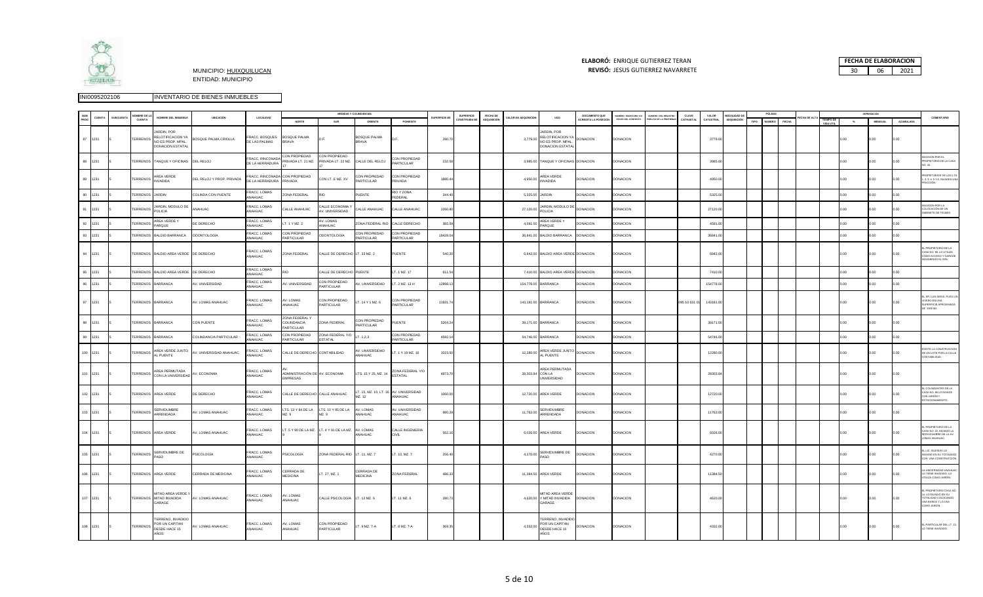

## **ELABORÓ:** ENRIQUE GUTIERREZ TERAN



|     |          | MBRE DE I         |                                                                                 |                           |                                     |                                                   |                                           | MEDIDAS Y COLINDANCIAS             |                                                    |              | SUPERFICIE  | FECHA DE    |                    |                                                                         | DOCUMENTO QUE      |                                           |                                           | CLAVE         | VALOR     | MODALIDAD F        |      | PÓLIZAS       |       |                        |       | DEPRESIACION   |           |                                                                                                                    |
|-----|----------|-------------------|---------------------------------------------------------------------------------|---------------------------|-------------------------------------|---------------------------------------------------|-------------------------------------------|------------------------------------|----------------------------------------------------|--------------|-------------|-------------|--------------------|-------------------------------------------------------------------------|--------------------|-------------------------------------------|-------------------------------------------|---------------|-----------|--------------------|------|---------------|-------|------------------------|-------|----------------|-----------|--------------------------------------------------------------------------------------------------------------------|
|     |          | CUENTA            | NOMBRE DEL INMUEBLE                                                             | UBICACIÓN                 | LOCALIDAD                           | NORTE                                             | SUR                                       | ORIENTE                            | PONIENTE                                           | SUPERFICIE M | ONSTRUIDA N | ADQUISICIÓN | ALOR DE ADQUISICIO | <b>USO</b>                                                              | CREDITA LA POSECIO | UMERO ESCRITURA Y/C<br>FECHA DEL CONTRATO | UMERO DEL REGISTRO<br>LICO DE LA PROPIEDA | CATRASTA      | CATASTRAL | <b>IDQUISICIÓN</b> | TIPO | <b>NUMERO</b> | FECHA | 'IEMPO DE<br>VIDA UTIL | $-26$ | <b>MENSUAL</b> | ACUMULADA | COMENTARIO                                                                                                         |
|     | 87 1231  | <b>TERRENOS</b>   | ARDIN, POR<br>RELOTIFICACION YA<br>NO ES PROP. MPAL.<br><b>DONACIÓN ESTATAL</b> | BOSQUE PALMA CRIOLLA      | FRACC, BOSQUES<br>DE LAS PALMAS     | BOSQUE PALMA<br><b>BRAVA</b>                      | D.F.                                      | BOSQUE PALMA<br><b>BRAVA</b>       |                                                    | 290.70       |             |             | 3,779.00           | ARDIN, POR<br>RELOTIFICACION Y.<br>NO ES PROP. MPAL.<br>DONACION ESTATA | <b>DONACION</b>    | <b>DONACION</b>                           |                                           |               | 3779.00   |                    |      |               |       |                        | 0.00  | 00.0           | 00.0      |                                                                                                                    |
| 88  | 1231     |                   | TERRENOS TANQUE Y OFICINAS                                                      | DEL RELOJ                 | FRACC. RINCONADA<br>DE LA HERRADURA | CON PROPIEDAD<br>RIVADA LT. 21 MZ.                | CON PROPIEDAD<br>PRIVADA LT. 22 MZ.       | CALLE DEL RELOJ                    | ON PROPIEDAD<br><b>ARTICULAR</b>                   | 232.58       |             |             |                    | 3,985.00 TANQUE Y OFICINAS DONACION                                     |                    | <b>DONACION</b>                           |                                           |               | 3985.00   |                    |      |               |       |                        | 00    | 00             |           | ASIÓN POR EL<br>ROPIETARIO DE LA CASA                                                                              |
|     | 89 1231  | <b>TERRENOS</b>   | AREA VERDE<br><b>VVADIDA</b>                                                    | DEL RELOJ Y PROP. PRIVADA | DE LA HERRADURA PRIVADA             | FRACC. RINCONADA CON PROPIEDAD                    | CON LT. E MZ. XV                          | CON PROPIEDAD<br><b>PARTICULAR</b> | CON PROPIEDAD<br>PRIVADA                           | 1880.44      |             |             | 4,950.00           | AREA VERDE<br><b>INVADIDA</b>                                           | DONACION           | DONACION                                  |                                           |               | 4950.00   |                    |      |               |       |                        | 0.00  | .00            |           | OPIETARIOS DE LOS LTS.<br>. 3, 4, 5 Y 8, INVADEN UNA<br>CIÓN                                                       |
| 90  | 1231     | TERRENOS          | <b>IARDIN</b>                                                                   | COLINDA CON PUENTE        | FRACC. LOMAS<br>NAHLIAC.            | ONA FEDERAL                                       |                                           | <b>UENTE</b>                       | <b>NO Y ZONA</b><br>FEDERAL                        | 344.4        |             |             | 5,325.00           | <b>JARDIN</b>                                                           | <b>ONACION</b>     | <b>ONACION</b>                            |                                           |               | 5325.00   |                    |      |               |       |                        | 00    | .00            |           |                                                                                                                    |
| 91  | 1231     | TERRENOS          | ARDIN, MODULO DE<br>POLICIA                                                     | NAHUAC                    | RACC. LOMAS<br>ANAHLIAC.            | CALLE ANAHUAC                                     | ALLE ECONOMIA<br>V. UNIVERSIDAD           | CALLE ANAHUAC                      | ALLE ANAHUAC                                       | 2260.80      |             |             | 27,120.00          | ARDIN, MODULO D<br>POLICIA                                              | DONACION           | DONACION                                  |                                           |               | 27120.00  |                    |      |               |       |                        | .00   |                |           | ASIÓN POR LA<br>OLOCACIÓN DE UN<br>ABINETE DE TELMEX                                                               |
|     | 92 1231  | <b>TERRENOS</b>   | AREA VERDE Y<br>ARQUE                                                           | DE DERECHO                | FRACC. LOMAS<br>NAHUAC              | T. 1 Y MZ. 2                                      | V. LOMAS<br>NAHUAC                        | ZONA FEDERAL RIC                   | CALLE DERECHO                                      | 382.59       |             |             | 4,591.00           | AREA VERDE Y<br>PARQUE                                                  | DONACION           | <b>DONACION</b>                           |                                           |               | 4591.00   |                    |      |               |       |                        | 00    | 00.            |           |                                                                                                                    |
| 93  | 1231     | <b>TERRENOS</b>   | BALDIO BARRANCA                                                                 | ODONTOLOGÍA               | RACC. LOMAS<br>NAHUAC               | CON PROPIEDAD<br><b>ARTICULAR</b>                 | DDONTOLOGÍA                               | ON PROPIEDAD<br><b>PARTICULAR</b>  | CON PROPIEDAD<br><b>ARTICULAR</b>                  | 18428.04     |             |             | 36,841.00          | <b>BALDIO BARRANCA</b>                                                  | <b>DONACION</b>    | <b>DONACION</b>                           |                                           |               | 36841.00  |                    |      |               |       |                        |       | $00 -$         |           |                                                                                                                    |
|     | 94 1231  |                   | TERRENOS BALDIO AREA VERDE DE DERECHO                                           |                           | FRACC. LOMAS<br>ANAHUAC             | ZONA FEDERAL                                      | CALLE DE DERECHO LT. 33 MZ. 2             |                                    | PUENTE                                             | 540.20       |             |             |                    | 6,842.00 BALDIO AREA VERDE DONACION                                     |                    | DONACION                                  |                                           |               | 6842.00   |                    |      |               |       |                        | .00   | .00            |           | PROPIETARIO DE LA<br>ASA NO. 66, LO UTILIZA<br>OMO ACCESO Y GARAGE<br>ADIENDO EL 50%.                              |
| 95  | 1231     |                   | TERRENOS BALDIO AREA VERDE                                                      | DE DERECHO                | FRACC. LOMAS<br><b>NAHUAC</b>       |                                                   | CALLE DE DERECHO                          | PUENTE                             | T. 1 MZ. 17                                        | 611.54       |             |             | 7410.00            | <b>BALDIO AREA VERDE DONACION</b>                                       |                    | DONACION                                  |                                           |               | 7410.00   |                    |      |               |       |                        | 00    | 00             |           |                                                                                                                    |
| 96  | 1231     | TERRENOS          | <b>BARRANCA</b>                                                                 | V. UNIVERSIDAD            | RACC, LOMAS<br>NAHUAC               | V. UNIVERSIDAD                                    | CON PROPIEDAD<br><b>ARTICULAR</b>         | V. UNIVERSIDAD                     | T. 2 MZ. 13 H                                      | 12898.1      |             |             | 154,778.00         | ARRANCA                                                                 | <b>ONACION</b>     | <b>ONACION</b>                            |                                           |               | 154778.00 |                    |      |               |       |                        | 00    | 00             |           |                                                                                                                    |
|     | 97 1231  | TERRENOS BARRANCA |                                                                                 | AV. LOMAS ANAHUAC         | FRACC. LOMAS<br>ANAHUAC             | AV. LOMAS<br>ANAHUAC                              | CON PROPIEDAD<br>PARTICULAR               | T. 14 Y 1 MZ. 6                    | CON PROPIEDAD<br>PARTICULAR                        | 11931.74     |             |             |                    | 143,181.00 BARRANCA                                                     | <b>DONACION</b>    | DONACION                                  |                                           | 095 10 631 01 | 143181.00 |                    |      |               |       |                        | 0.00  | 00.            | 0.00      | SR. LUIS MESA, PUSO UN<br>VERO EN UNA<br>SUPERFICIE APROXIMADA<br>E 2000 M2.                                       |
|     | 98 1231  | TERRENOS BARRANCA |                                                                                 | CON PUENTE                | FRACC. LOMAS<br>NAHUAC              | ONA FEDERAL Y<br><b>OLINDANCIA</b><br>ARTICULAR   | ZONA FEDERAL                              | CON PROPIEDAD<br><b>PARTICULAR</b> | UENTE                                              | 5264.24      |             |             |                    | 39,171.00 BARRANCA                                                      | <b>DONACION</b>    | DONACION                                  |                                           |               | 39171.00  |                    |      |               |       |                        |       | 00             |           |                                                                                                                    |
|     | 99 1231  | TERRENOS BARRANCA |                                                                                 | COLINDANCIA PARTICULAR    | FRACC. LOMAS<br>NAHLIAC.            | CON PROPIEDAD<br>ARTICULAR                        | ZONA FEDERAL Y/C<br><b>FSTATAL</b>        | T. 1,2,3                           | CON PROPIEDAD<br>ARTICULAR                         | 4592.14      |             |             | 54,746.00          | BARRANCA                                                                | <b>DONACION</b>    | DONACION                                  |                                           |               | 54746.00  |                    |      |               |       |                        |       | 0O             |           |                                                                                                                    |
|     | 100 1231 | TERRENOS          | AREA VERDE JUNTO<br>L PUENTE                                                    | AV. UNIVERSIDAD ANAHUAC   | RACC. LOMAS<br>NAHUAC               | CALLE DE DERECHO CONTABILIDAD                     |                                           | V. UNIVERSIDAD<br>NAHUAC           | T. 1 Y 19 MZ. 16                                   | 1023.50      |             |             | 12,280.00          | AREA VERDE JUNT<br><b>L PUENTE</b>                                      | <b>DONACION</b>    | DONACION                                  |                                           |               | 12280.00  |                    |      |               |       |                        | 0.00  | .00            | .00       | XISTE LA CONSTRUCCIÓN<br>E UN LOTE POR LA CALLE<br>ONTABILIDAD.                                                    |
| 101 | 1231     | TERRENOS          | AREA PERMUTADA<br>CON LA UNIVERSIDAD                                            | AV. ECONOMIA              | FRACC, LOMAS<br>NAHUAC              | ADMINISTRACIÓN DE AV. ECONOMIA<br><b>EMPRESAS</b> |                                           | LTS. 15 Y 25, MZ. 14               | ZONA FEDERAL Y/O<br><b>STATAL</b>                  | 4873.70      |             |             | 28,303.84          | AREA PERMUTADA<br>CON LA<br><b>UNIVERSIDAD</b>                          | DONACION           | DONACION                                  |                                           |               | 28303.84  |                    |      |               |       |                        | .00.  | 00.            |           |                                                                                                                    |
|     | 102 1231 |                   | TERRENOS AREA VERDE                                                             | DE DERECHO                | FRACC. LOMAS<br><b>ANAHLIAC</b>     |                                                   | CALLE DE DERECHO CALLE ANAHUAC            | M7 12                              | T. 15, MZ. 10, LT. 16 AV. UNIVERSIDAD<br>ANAHLIAC. | 1060.00      |             |             |                    | 12,720.00 AREA VERDE                                                    | <b>DONACION</b>    | DONACION                                  |                                           |               | 12720.00  |                    |      |               |       |                        | .00.  | 00.            |           | COLINDANTES DE LA<br>ASA NO. 66 LO INVADE<br>ON JARDÍN Y<br><b>STACIONAMIENTO</b>                                  |
|     | 103 1231 | <b>TERRENOS</b>   | <b>SERVIDUMBRE</b><br><b>ARRENDADA</b>                                          | V. LOMAS ANAHUAC          | FRACC. LOMAS<br>NAHUAC              | LTS. 13 Y 84 DE LA<br>MZ. 9                       | LTS. 10 Y 85 DE LA<br>MZ. 9               | AV. LOMAS<br>NAHUAC                | AV. UNIVERSIDAD<br>ANAHUAC                         | 980.29       |             |             | 11,763.00          | <b>SERVIDUMBRE</b><br>ARRENDADA                                         | <b>ONACION</b>     | <b>DONACION</b>                           |                                           |               | 11763.00  |                    |      |               |       |                        | .00   | .00            |           |                                                                                                                    |
|     | 104 1231 |                   | TERRENOS AREA VERDE                                                             | AV. LOMAS ANAHUAC         | FRACC. LOMAS<br>ANAHUAC             |                                                   | LT. 5 Y 90 DE LA MZ. LT. 4 Y 91 DE LA MZ. | AV. LOMAS<br>ANAHUAC               | CALLE INGENIERIA                                   | 562.16       |             |             |                    | 6,026.00 AREA VERDE                                                     | <b>DONACION</b>    | <b>DONACION</b>                           |                                           |               | 6026.00   |                    |      |               |       |                        | 0.00  | 00.            | 0.00      | PROPIETARIO DE LA<br>ASA NO. 22, INVADIÓ LA<br>ERVIDUMBRE DE LA AV<br>OMAS ANAHUAC.                                |
|     | 105 1231 | <b>TERRENOS</b>   | ERVIDUMBRE DE<br>ASO                                                            | <b>SICOLOGÍA</b>          | FRACC. LOMAS<br>ANAHUAC             | PSICOLOGÍA                                        | ZONA FEDERAL RIO LT. 11, MZ. 7            |                                    | T. 10, MZ. 7                                       | 256.40       |             |             | 4,270.00           | ERVIDUMBRE DE<br>iso                                                    | <b>DONACION</b>    | DONACION                                  |                                           |               | 4270.00   |                    |      |               |       |                        | .00.  | 00             |           | LIC. IGLESIAS LO<br>VADIÓ EN SU TOTALIDA<br>IN UNA CONSTRUCCIÓN                                                    |
|     | 106 1231 |                   | TERRENOS AREA VERDE                                                             | CERRADA DE MEDICINA       | RACC. LOMAS<br>ANAHUAC              | CERRADA DE<br><b>MEDICINA</b>                     | T. 27, MZ. 1                              | CERRADA DE<br><b>MEDICINA</b>      | ZONA FEDERAL                                       | 486.33       |             |             |                    | 11,384.50 AREA VERDE                                                    | <b>DONACION</b>    | DONACION                                  |                                           |               | 11384.50  |                    |      |               |       |                        | .00.  | 00             |           | UNIVERSIDAD ANAHUA<br>TIENE INVADIDO, LO<br>JTILIZA COMO JARDÍN.                                                   |
|     | 107 1231 |                   | MITAD AREA VERDE<br>TERRENOS MITAD INVADIDA<br>ARAGE                            | AV. LOMAS ANAHUAC         | FRACC. LOMAS<br>ANAHLIAC            | AV. LOMAS<br>ANAHLIAC:                            | CALLE PSICOLOGÍA LT. 12 MZ. 6             |                                    | LT. 11 MZ. 6                                       | 280.73       |             |             |                    | MITAD AREA VERDE<br>4,620.00 Y MITAD INVADIDA<br>GARAGE                 | <b>DONACION</b>    | DONACION                                  |                                           |               | 4620.00   |                    |      |               |       |                        | 0.00  | 0.00           | 0.00      | PROPIETARIO CASA N<br>4, LO INVADIÓ EN SU<br><b>DTALIDAD COLOCANDO</b><br><b>INA BARDA Y LO USA</b><br>OMO JARDÍN. |
|     | 108 1231 | TERRENOS          | TERRENO, INVADIDO<br>POR UN CAPITAN<br>DESDE HACE 15<br>AÑOS                    | AV. LOMAS ANAHUAC         | FRACC. LOMAS<br>ANAHUAC             | V. LOMAS<br>ANAHUAC                               | CON PROPIEDAD<br>PARTICULAR               | LT. 9 MZ. 7-A                      | LT. 8 MZ. 7-A                                      | 369.35       |             |             | 4,332.00           | TERRENO INVADIDO<br>POR UN CAPITAN<br>DESDE HACE 15<br>AÑOS             | DONACION           | DONACION                                  |                                           |               | 4332.00   |                    |      |               |       |                        | 100   | 00.            | 00        | PARTICULAR DEL LT. 1<br>TIENE INVADIDO                                                                             |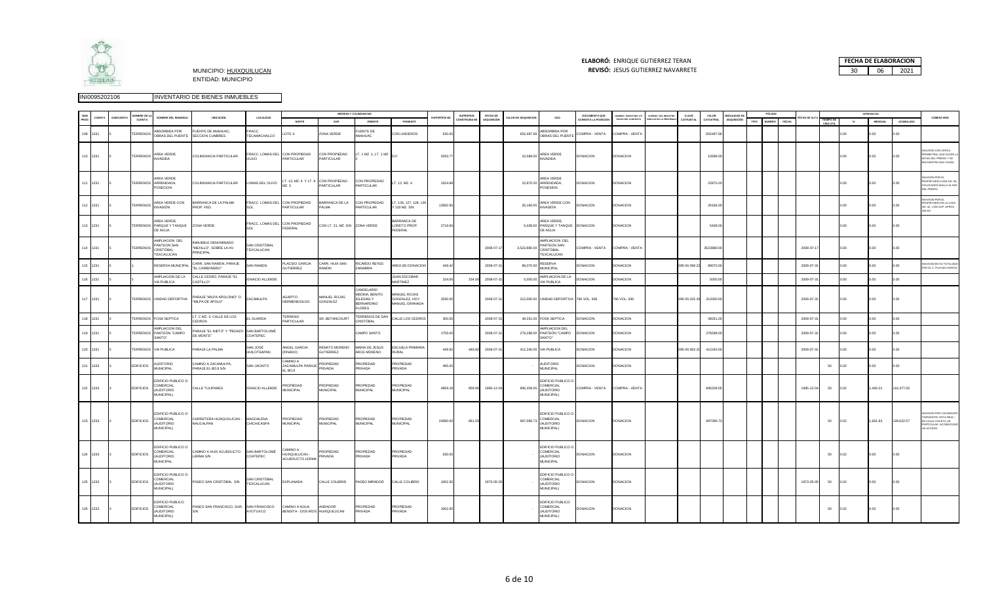

### **ELABORÓ:** ENRIQUE GUTIERREZ TERAN

MUNICIPIO: HUIXQUILUCAN **REVISÓ:** 30 06 2021 JESUS GUTIERREZ NAVARRETE **FECHA DE ELABORACION**<br>30 06 2021

|             |          |                 | OMBRE DE LA      |                                                                          |                                                             |                                         |                                                  |                                   | MEDIDAS Y COLINDANCIAS                                                           |                                                 |                     | <b>SUPERFICIE</b> | FECHA DE           |                     |                                                                         | DOCUMENTO QUE               |                                           |                                            | CLAVE         | VALOR      | ODALIDAD D |      | <b>POLIZAS</b> |       |            |               |        | DEPRESIACION   |            |                                                                                                                  |
|-------------|----------|-----------------|------------------|--------------------------------------------------------------------------|-------------------------------------------------------------|-----------------------------------------|--------------------------------------------------|-----------------------------------|----------------------------------------------------------------------------------|-------------------------------------------------|---------------------|-------------------|--------------------|---------------------|-------------------------------------------------------------------------|-----------------------------|-------------------------------------------|--------------------------------------------|---------------|------------|------------|------|----------------|-------|------------|---------------|--------|----------------|------------|------------------------------------------------------------------------------------------------------------------|
| NUM<br>PROG | CUENTA   | <b>SUBCUENT</b> | <b>CUENTA</b>    | NOMBRE DEL INMUEBLE                                                      | UBICACIÓN                                                   | LOCALIDAD                               | NORTE                                            | SUR                               | ORIENTE                                                                          | PONIENTE                                        | <b>SUPERFICIE M</b> | <b>INSTRUIDAM</b> | <b>ADOUISICIÓN</b> | ALOR DE ADQUISICION | <b>USO</b>                                                              | <b>ACREDITA LA POSECION</b> | UMERO ESCRITURA Y/O<br>FECHA DEL CONTRATO | WERO DEL REGISTRO<br>ÚBLICO DE LA PROPIEDA | CATRASTA      | CATASTRA   | ADQUISICIÓ | TIPO | <b>NUMERO</b>  | FECHA |            | <b>TEMPOD</b> | $5$    | <b>MENSUAL</b> | ACUMULADA  | COMENTARIO                                                                                                       |
|             | 109 1231 |                 | TERRENOS         | <b>BSORBIDA POR</b><br>OBRAS DEL PUENTE                                  | UENTE DE ANAHUAC,<br>SECCION CUMBRES                        | FRACC.<br>TECAMACHALCO                  | OTE <sub>4</sub>                                 | ZONA VERDE                        | FUENTE DE<br>ANAHUAC                                                             | CON LINDEROS                                    | 530.00              |                   |                    | 652,497.66          | ABSORBIDA POR<br>OBRAS DEL PUENTE                                       | COMPRA - VENTA              | COMPRA - VENTA                            |                                            |               | 652497.6   |            |      |                |       |            |               | .00    | 0.00           | 00.0       |                                                                                                                  |
|             | 110 1231 |                 | TERRENOS         | AREA VERDE<br><b>INVADIDA</b>                                            | COLINDANCIA PARTICULAR                                      | FRACC. LOMAS DEL CON PROPIEDAD<br>OVLIO | PARTICULAR                                       | CON PROPIEDAD<br>PARTICULAR       | LT. 1 MZ. 1, LT. 1 MZ. $D.F.$                                                    |                                                 | 5293.77             |                   |                    | 10,588.00           | AREA VERDE<br><b>INVADIDA</b>                                           | <b>DONACION</b>             | <b>DONACION</b>                           |                                            |               | 10588.00   |            |      |                |       |            |               | 0.00   | 0.00           | 0.00       | VASIÓN CON CERCA<br>ERIMETRAL QUE DIVIDE L<br>4/TAD DEL PREDIO Y SE<br>NCUENTRA UNA CHOZA                        |
|             | 111 1231 |                 |                  | AREA VERDE<br>TERRENOS ARRENDADA.<br>OSECION                             | COLINDANCIA PARTICULAR                                      | LOMAS DEL OLIVO                         | LT. 13, MZ. 4 Y LT. 6 CON PROPIEDAD<br>MZ. 5     | PARTICULAR                        | CON PROPIEDAD<br>PARTICULAR                                                      | LT. 12, MZ. 4                                   | 1524.68             |                   |                    |                     | AREA VERDE<br>22,870.20 ARRENDADA,<br>POSESION                          | <b>DONACION</b>             | <b>DONACION</b>                           |                                            |               | 22870.20   |            |      |                |       |            |               | 00     | 00.0           | 00         | VASIÓN POR FL<br>ROPIETARIO CASA NO. 36,<br>COLOCANDO MALLA AL 50%<br>EL PREDIO.                                 |
|             | 112 1231 |                 | <b>TERRENOS</b>  | AREA VERDE CON<br>INVASIÓN                                               | BARRANCA DE LA PALMA<br>PROP. FED.                          | FRACC. LOMAS DEL CON PROPIEDAD<br>SOL   | PARTICULAR                                       | BARRANCA DE LA<br>PALMA           | CON PROPIEDAD.<br>PARTICULAR                                                     | T. 126, 127, 128, 12<br>130 MZ. S/N             | 13082.90            |                   |                    | 26,166.00           | AREA VERDE CON<br><b>INVASIÓN</b>                                       | <b>DONACION</b>             | <b>DONACION</b>                           |                                            |               | 26166.00   |            |      |                |       |            |               | OO.    | 00.0           |            | VASIÓN POR EL<br>ROPIETARIO DE LA CASA<br>(0.44, CON SUP. APROX<br>5M 00                                         |
|             | 113 1231 |                 |                  | AREA VERDE,<br>TERRENOS PARQUE Y TANQUE ZONA VERDE<br>DE AGUA            |                                                             | FRACC. LOMAS DEL CON PROPIEDAD<br>SOI   | FEDERAL                                          | CON LT. 21, MZ. S/N ZONA VERDE    |                                                                                  | BARRANCA DE<br>LORETO PROP.<br><b>EDERAL</b>    | 2718.83             |                   |                    |                     | AREA VERDE,<br>5,438.00 PARQUE Y TANQUE DONACION<br>DE AGUA             |                             | <b>DONACION</b>                           |                                            |               | 5438.00    |            |      |                |       |            |               | 0.00   | 0.00           |            |                                                                                                                  |
|             | 114 1231 |                 | TERRENOS         | MPLIACION DEL<br>ANTEON SAN<br>CRISTÓBAL<br>EXCALUCAN                    | INMUEBLE DENOMINADO<br>"MEXILLO", SOBRE LA AV.<br>PRINCIPAL | SAN CRISTÓRAL<br>TEXCALUCAN             |                                                  |                                   |                                                                                  |                                                 |                     |                   | 2008-07-1          | 3,523,880.00        | AMPLIACION DEL<br>PANTEON SAN<br>CRISTÓBAL<br>TEXCALUCAN                | COMPRA - VENTA              | COMPRA - VENTA                            |                                            |               | 3523880.00 |            |      |                |       | 2008-07-17 |               | 0.00   | 0.00           | n o        |                                                                                                                  |
|             | 115 1231 |                 |                  | RESERVA MUNICIPAL                                                        | CARR. SAN RAMON, PARAJE<br>"EL CARBONERO"                   | SAN RAMON                               | PLACIDO GARCIA<br><b>GUTIERREZ</b>               | CARR. HUIX-SAN<br>RAMON           | RICARDO REYES<br>ZANABRIA                                                        | AREA DE DONACIÓN                                | 449.42              |                   | 2009-07-3          | 89,070,00           | RESERVA<br><b>MUNICIPAL</b>                                             | <b>DONACION</b>             | <b>DONACION</b>                           |                                            | 95 06 098 22  | 89070.00   |            |      |                |       | 2009-07-3  |               | 00.    | 00.            | 00.0       | VASIÓN EN SU TOTALIDAD<br>OR EL C. PLACIDO GARCÍA                                                                |
|             | 116 1231 |                 |                  | AMPLIACION DE LA<br>VIA PUBLICA                                          | CALLE CEDRO, PARAJE "EL<br>CASTILLO"                        | <b>GNACIO ALLENDE</b>                   |                                                  |                                   |                                                                                  | <b>JUAN ESCOBAR</b><br>MARTINEZ                 | 154.00              | 154.0             | 2009-07-3          | 5,000.00            | AMPLIACION DE LA<br><b>VIA PUBLICA</b>                                  | <b>DONACION</b>             | <b>ONACION</b>                            |                                            |               | 5000.00    |            |      |                |       | 2009-07-3  |               | $00 -$ | oo             |            |                                                                                                                  |
|             | 117 1231 |                 |                  | TERRENOS UNIDAD DEPORTIVA                                                | PARAJE "MILPA APOLONIO" O<br>"MILPA DE APOLO"               | ZACAMULPA                               | AGAPITO<br>HERMENEGILDO                          | <b>IANUEL ROJAS</b><br>GONZALEZ   | CANDELARIO<br>MEDINA, BENITO<br><b>IGLESIAS Y</b><br><b>BERNARDINO</b><br>FLORES | MANUEL ROJAS<br>GONZALEZ, HOY<br>MANUEL GRANADA | 2030.00             |                   | 2009-07-3          |                     | 312,000.00 UNIDAD DEPORTIVA 766 VOL. 936                                |                             | 766 VOL. 936                              |                                            | 095 05 025 20 | 312000.00  |            |      |                |       | 2009-07-31 |               | 0.00   | 00.0           | 00.0       |                                                                                                                  |
|             | 118 1231 |                 |                  | TERRENOS FOSA SEPTICA                                                    | LT. C MZ. 3, CALLE DE LOS<br>CEDROS                         | EL GUARDA                               | TERRENO<br>PARTICULAR                            | R. BETANCOURT                     | TERRENOS DE SAN<br>CRISTÓBAL                                                     | CALLE LOS CEDROS                                | 300.00              |                   | 2009-07-3          |                     | 49,251.00 FOSA SEPTICA                                                  | <b>DONACION</b>             | DONACION                                  |                                            |               | 49251.00   |            |      |                |       | 2009-07-3  |               | n n    | 00             | 00         |                                                                                                                  |
|             | 119 1231 |                 |                  | AMPLIACION DEL<br>TERRENOS PANTEÓN "CAMPO<br>SANTO"                      | PARAJE "EL NIETO" Y "PEDAZO SAN BARTOLOMÉ<br>DE MONTE*      | COATEPEC                                |                                                  |                                   | CAMPO SANTO                                                                      |                                                 | 1755.00             |                   | 2009-07-3          | 278,298.00          | AMPLIACION DEL<br>PANTEÓN "CAMPO<br>SANTO"                              | <b>DONACION</b>             | DONACION                                  |                                            |               | 278298.00  |            |      |                |       | 2009-07-31 |               | 00.    | 00.            | 0.00       |                                                                                                                  |
|             | 120 1231 |                 |                  | TERRENOS VIA PUBLICA                                                     | PARAJE LA PALMA                                             | SAN JOSÉ<br><b>HUILOTEAPAN</b>          | ANGEL GARCIA<br>(FINADO)                         | RENATO MORENO<br><b>SUTIERREZ</b> | MARIA DE JESUS<br>ARCE MORENO                                                    | ESCUELA PRIMARIA<br>RURAL                       | 449.92              | 449.92            | 2009-07-3          |                     | 412,240.00 VIA PUBLICA                                                  | <b>DONACION</b>             | DONACION                                  |                                            | 95 06 083 21  | 412240.00  |            |      |                |       | 2009-07-3  |               | OO.    | 00.            | 0.00       |                                                                                                                  |
|             | 121 1233 |                 | <b>EDIFICIOS</b> | <b>UDITORIO</b><br>MUNICIPAL                                             | CAMINO A ZACAMULPA,<br>PARAJE EL BOJI S/N                   | SAN JACINTO                             | A OWING<br>ZACAMULPA PARAJE<br>EL BOJI           | ROPIEDAD<br>PRIVADA               | PROPIEDAD<br>PRIVADA                                                             | <b>PROPIEDAD</b><br><b>PRIVADA</b>              | 495.00              |                   |                    |                     | <b>AUDITORIO</b><br><b>MUNICIPAL</b>                                    | <b>DONACION</b>             | <b>DONACION</b>                           |                                            |               |            |            |      |                |       |            | 50            | 0.02   | 00.0           | 0.00       |                                                                                                                  |
|             | 122 1233 |                 | <b>EDIFICIOS</b> | <b>EDIFICIO PUBLICO O</b><br>COMERCIAL<br><b>AUDITORIO</b><br>MUNICIPAL) | CALLE TULIPANES                                             | <b>IGNACIO ALLENDE</b>                  | PROPIEDAD<br>MUNICIPAL                           | PROPIEDAD<br>MUNICIPAL            | PROPIEDAD<br>MUNICIPAL                                                           | PROPIEDAD<br>MUNICIPAL                          | 4959.18             | 859.95            | 1995-12-0          | 895,208.05          | EDIFICIO PUBLICO O<br>COMERCIAL<br><b>AUDITORIO</b><br>MUNICIPAL)       | COMPRA - VENTA              | COMPRA - VENTA                            |                                            |               | 895208.05  |            |      |                |       | 1995-12-04 | 50            | 0.02   | 1,492.01       | 116,377.05 |                                                                                                                  |
|             | 123 1233 |                 | <b>EDIFICIOS</b> | EDIFICIO PUBLICO O<br>COMERCIAL<br>AUDITORIO<br>MUNICIPAL)               | CARRETERA HUIXQUILUCAN -<br>NAUCALPAN                       | MAGDALENA<br>CHICHICASPA                | PROPIEDAD<br>MUNICIPAL                           | PROPIEDAD<br>MUNICIPAL            | PROPIEDAD<br>MUNICIPAL                                                           | PROPIEDAD<br>MUNICIPAL                          | 24580.00            | 861.03            |                    | 997,096.73          | EDIFICIO PUBLICO O<br>COMERCIAL<br>(AUDITORIO<br>MUNICIPAL)             | <b>DONACION</b>             | <b>DONACION</b>                           |                                            |               | 997096.7   |            |      |                |       |            | 50            | 0.02   | 1,661.83       | 129,622.57 | ASIÓN POR COLINDANTE<br><b>ORIZONTE VISTA REAL".</b><br>N CALLE VIOLETA UN<br>ARTICULAR ACONDICIONO<br>N ACCESO. |
|             | 124 1233 |                 | <b>EDIFICIOS</b> | <b>EDIFICIO PUBLICO O</b><br>COMERCIAL<br><b>AUDITORIO</b><br>MUNICIPAL  | CAMINO A HUIX ACUEDUCTO SAN BARTOLOMÉ<br>LERMA S/N          | COATEPEC                                | CAMINO A<br>HUIXQUILUCAN -<br>ACUEDUCTO LERMA    | <b>ROPIEDAD</b><br><b>RIVADA</b>  | PROPIEDAD<br>PRIVADA                                                             | PROPIEDAD<br><b>PRIVADA</b>                     | 630.00              |                   |                    |                     | EDIFICIO PUBLICO O<br>COMERCIAL<br><b>AUDITORIO</b><br><b>MUNICIPAL</b> | <b>DONACION</b>             | DONACION                                  |                                            |               |            |            |      |                |       |            | 50            | 0.02   | 0.00           | 00.0       |                                                                                                                  |
|             | 125 1233 |                 | <b>EDIFICIOS</b> | DIFICIO PUBLICO O<br>COMERCIAL<br>(AUDITORIO<br>MUNICIPAL)               | PASEO SAN CRISTÓBAL S/N                                     | <b>SAN CRISTÓBAL</b><br>TEXCALUCAN      | EXPLANADA                                        | CALLE COLIBRIS                    | PASEO MIRADOR                                                                    | CALLE COLIBRIS                                  | 1062.50             |                   | 1973-05-05         |                     | EDIFICIO PUBLICO C<br>COMERCIAL<br>(AUDITORIO<br>MUNICIPAL)             | <b>DONACION</b>             | <b>DONACION</b>                           |                                            |               |            |            |      |                |       | 1973-05-05 | 50            | 0.02   | 0.00           | 0.00       |                                                                                                                  |
|             | 126 1233 |                 | <b>EDIFICIOS</b> | DIFICIO PUBLICO<br><b>OMERCIAL</b><br>(AUDITORIO<br>MUNICIPAL)           | PASEO SAN FRANCISCO, SUR. SAN FRANCISCO                     | AYOTUXCO                                | CAMINO A AGUA<br>BENDITA - DOS RÍOS HUIXQUILUCAN | ANDADOR                           | PROPIEDAD<br>PRIVADA                                                             | PROPIEDAD<br><b>RIVADA</b>                      | 1062.50             |                   |                    |                     | EDIFICIO PUBLICO<br>COMERCIAL<br>(AUDITORIO<br>MUNICIPAL)               | <b>DONACION</b>             | DONACION                                  |                                            |               |            |            |      |                |       |            | 50            | 0.02   | 0.00           | 00.0       |                                                                                                                  |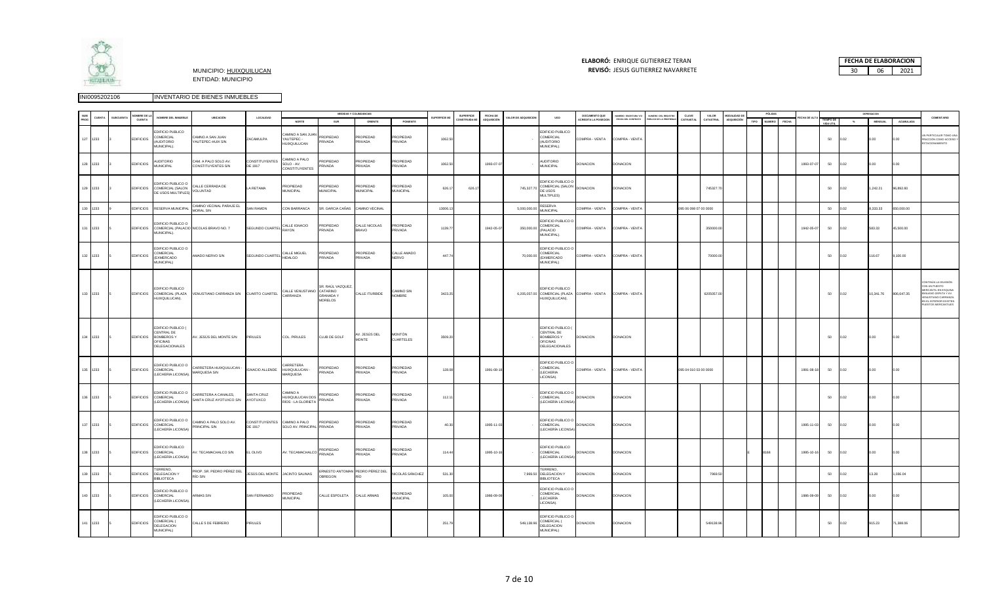

# **ELABORÓ:** ENRIQUE GUTIERREZ TERAN



|     |          |               | MBRE DE LA       |                                                                              |                                                 |                                         |                                                    |                                                                  | MEDIDAS Y COLINDANCIAS             |                               |              | <b>SUPERFICIE</b> | FECHA DE    |                     |                                                                                                  | DOCUMENTO QUE      | UMERO ESCRITURA Y/O | <b>UMERO DEL REGISTRO</b> | CLAVE                 | VALOR      | MODALIDAD D        |      | PÓLIZAS       |              |            |                        |       | DEPRESIACION |            |                                                                                                                                                                |
|-----|----------|---------------|------------------|------------------------------------------------------------------------------|-------------------------------------------------|-----------------------------------------|----------------------------------------------------|------------------------------------------------------------------|------------------------------------|-------------------------------|--------------|-------------------|-------------|---------------------|--------------------------------------------------------------------------------------------------|--------------------|---------------------|---------------------------|-----------------------|------------|--------------------|------|---------------|--------------|------------|------------------------|-------|--------------|------------|----------------------------------------------------------------------------------------------------------------------------------------------------------------|
|     |          | <b>UBCUEN</b> | CUENTA           | NOMBRE DEL INMUEBLE                                                          | UBICACIÓN                                       | LOCALIDAD                               | NORTE                                              | SUR                                                              | ORIENTE                            | PONIENTE                      | SUPERFICIE M | DNSTRUIDA M       | ADQUISICIÓN | ALOR DE ADQUISICION | <b>USO</b>                                                                                       | CREDITA LA POSECIO | FECHA DEL CONTRATO  | LICO DE LA PROPIEDA       | CATRASTA              | CATASTRAL  | <b>IDQUISICIÓN</b> | TIPO | <b>NUMERO</b> | <b>FECHA</b> | CHA DE AL  | TIEMPO DE<br>VIDA UTIL | $-96$ | MENSUAL      | ACUMULADA  | COMENTARIO                                                                                                                                                     |
|     | 127 1233 |               | <b>EDIFICIOS</b> | DIFICIO PUBLICO<br>COMERCIAL<br><b>AUDITORIO</b><br><b>MUNICIPAL).</b>       | CAMNO A SAN JUAN<br>AUTEPEC-HUIX S/N            | ZACAMULPA                               | MINO A SAN JUAN<br>YAUTEPEC-<br>HUIXQUILUCAN       | PROPIEDAD<br>PRIVADA                                             | PROPIEDAD<br><b>PRIVADA</b>        | PROPIEDAD<br>PRIVADA          | 1062.50      |                   |             |                     | DIFICIO PUBLICO<br>COMERCIAL<br><b>OIROTION</b><br>MUNICIPAL).                                   | COMPRA - VENTA     | COMPRA - VENTA      |                           |                       |            |                    |      |               |              |            | 50                     | 0.02  | 00           | 0.00       | N PARTICULAR TOMO UNA<br>RACCIÓN COMO ACCESO Y<br>ACIONAMIENTO                                                                                                 |
|     | 128 1233 |               | <b>EDIFICIOS</b> | <b>UDITORIO</b><br><b>MUNICIPAL</b>                                          | CAM. A PALO SOLO AV.<br>CONSTITUYENTES S/N      | CONSTITUYENTES<br>DE 1917               | AMINO A PALO<br>SOLO - AV.<br>CONSTITUYENTES       | <b>ROPIEDAD</b><br>RIVADA                                        | <b>PROPIEDAD</b><br><b>PRIVADA</b> | PROPIEDAD<br>RIVADA           | 1062.50      |                   | 1993-07-07  |                     | NUDITORIO<br>MUNICIPAL                                                                           | DONACION           | <b>DONACION</b>     |                           |                       |            |                    |      |               |              | 1993-07-07 | 50                     | 0.02  | 0.00         | 0.00       |                                                                                                                                                                |
|     | 129 1233 |               | <b>EDIFICIOS</b> | DIFICIO PUBLICO O<br>COMERCIAL (SALON<br><b>DE USOS MULTIPLES</b>            | CALLE CERRADA DE<br>VOLUNTAD                    | LA RETAMA                               | <b>ROPIEDAD</b><br><b>MUNICIPAL</b>                | PROPIEDAD<br><b>MUNICIPAL</b>                                    | PROPIEDAD<br><b>MUNICIPAL</b>      | ROPIEDAD<br><b>MUNICIPAL</b>  | 626.17       | 626.1             |             | 745,327.70          | <b>EDIFICIO PUBLICO C</b><br>COMERCIAL (SALON DONACION<br>DE USOS<br>MULTIPLES)                  |                    | DONACION            |                           |                       | 745327.70  |                    |      |               |              |            | 50                     | 0.02  | ,242.21      | 96,892.60  |                                                                                                                                                                |
|     | 130 1233 |               | <b>EDIFICIOS</b> | RESERVA MUNICIPA                                                             | CAMINO VECINAL PARAJE EL<br>MORAL S/N           | <b>SAN RAMON</b>                        | CON BARRANCA                                       | SR. GARCIA CAÑAS                                                 | CAMINO VECINAL                     |                               | 13006.1      |                   |             | 5,000,000.00        | RESERVA<br><b>MUNICIPAL</b>                                                                      | COMPRA - VENTA     | COMPRA - VENTA      |                           | 095 06 098 07 00 0000 |            |                    |      |               |              |            | 50                     | 0.02  | ,333.33      | 650,000.00 |                                                                                                                                                                |
|     | 131 1233 |               | <b>EDIFICIOS</b> | DIFICIO PUBLICO O<br>MUNICIPAL).                                             | COMERCIAL (PALACIO NICOLAS BRAVO NO. 7          | SEGUNDO CUARTEL                         | CALLE IGNACIO<br>RAYON                             | ROPIEDAD<br><b>RIVADA</b>                                        | CALLE NICOLAS<br>BRAVO             | PROPIEDAD<br>PRIVADA          | 1139.77      |                   | 1942-05-07  | 350,000.00          | DIFICIO PUBLICO O<br>COMERCIAL<br>(PALACIO<br>MUNICIPAL).                                        | COMPRA - VENTA     | COMPRA - VENTA      |                           |                       | 350000.00  |                    |      |               |              | 1942-05-07 | 50                     | 0.02  | 583.33       | 45,500.00  |                                                                                                                                                                |
|     | 132 1233 |               | <b>EDIFICIOS</b> | <b>EDIFICIO PUBLICO O</b><br>COMERCIAL<br><b>EXMERCADO</b><br>MUNICIPAL)     | MADO NERVO S/N                                  | SEGUNDO CUARTEL                         | CALLE MIGUEL<br><b>HIDALGO</b>                     | PROPIEDAD<br>PRIVADA                                             | PROPIEDAD<br>PRIVADA               | CALLE AMADO<br>NERVO          | 447.74       |                   |             | 70,000.00           | EDIFICIO PUBLICO O<br>COMERCIAL<br><b>EXMERCADO</b><br>MUNICIPAL)                                | COMPRA - VENTA     | COMPRA - VENTA      |                           |                       | 70000.00   |                    |      |               |              |            | 50                     | 0.02  | 116.67       | 0.00.00    |                                                                                                                                                                |
|     | 133 1233 |               |                  | DIFICIO PUBLICO<br>EDIFICIOS COMERCIAL (PLAZA<br>IUIXQUILUCAN).              | VENUSTIANO CARRANZA S/N CUARTO CUARTEL          |                                         | CALLE VENUSTIANO<br>CARRANZA                       | R. RAÚL VAZQUEZ<br>CATARINO<br><b>GRANADAY</b><br><b>MORELOS</b> | CALLE ITURBIDE                     | CAMINO SIN<br>NOMBRE          | 3423.25      |                   |             |                     | DIFICIO PUBLICO<br>6,205,057.00 COMERCIAL (PLAZA COMPRA - VENTA COMPRA - VENTA<br>HUIXQUILUCAN). |                    |                     |                           |                       | 6205057.00 |                    |      |               |              |            | 50                     | 0.02  | 10,341.76    | 806,647.35 | ONTINÚA LA INVASIÓN<br>ON UN PUESTO<br>RCANTIL EN ESQUINA<br>IILIANO ZAPATA Y AV.<br>ENUSTIANO CARRANZA<br>IN EL INTERIOR EXISTER<br><b>UESTOS MERCANTILES</b> |
|     | 134 1233 |               | <b>EDIFICIOS</b> | EDIFICIO PUBLICO (<br>CENTRAL DE<br>BOMBEROS Y<br>OFICINAS<br>DELEGACIONALES | AV. JESÚS DEL MONTE S/N                         | PIRULES                                 | COL. PIRULES                                       | CLUB DE GOLF                                                     | V. JESÚS DEL<br><b>MONTE</b>       | MONTÓN<br>CUARTELES           | 3509.20      |                   |             |                     | EDIFICIO PUBLICO (<br>CENTRAL DE<br><b>BOMBEROSY</b><br>OFICINAS<br>DELEGACIONALES               | <b>DONACION</b>    | <b>DONACION</b>     |                           |                       |            |                    |      |               |              |            | 50                     | 0.02  | 0.00         | 0.00       |                                                                                                                                                                |
|     | 135 1233 |               | <b>EDIFICIOS</b> | DIFICIO PUBLICO O<br>COMERCIAL<br>(LECHERIA LICONSA)                         | CARRETERA HUIXQUILUCAN -<br>MARQUESA S/N        | IGNACIO ALLENDE                         | CARRETERA<br>HUIXQUILUCAN -<br><b>MARQUESA</b>     | PROPIEDAD<br>PRIVADA                                             | <b>PROPIEDAD</b><br>PRIVADA        | PROPIEDAD<br>PRIVADA          | 128.08       |                   | 1991-08-18  |                     | <b>EDIFICIO PUBLICO C</b><br>COMERCIAL<br>(LECHERIA<br>ICONSA).                                  | COMPRA - VENTA     | COMPRA - VENTA      |                           | 095 04 010 03 00 0000 |            |                    |      |               |              | 1991-08-18 | 50                     | 0.02  | 0.00         | 0.00       |                                                                                                                                                                |
|     | 136 1233 |               | <b>EDIFICIOS</b> | EDIFICIO PUBLICO O<br>COMERCIAL<br>(LECHERÍA LICONSA)                        | CARRETERA A CANALES,<br>SANTA CRUZ AYOTUXCO S/N | SANTA CRUZ<br>AYOTUXCO                  | A OWING:<br>HUIXQUILUCAN DOS<br>RÍOS - LA GLORIETA | <b>ROPIEDAD</b><br>RIVADA                                        | PROPIEDAD<br><b>RIVADA</b>         | <b>ROPIEDAD</b><br>RIVADA     | 112.11       |                   |             |                     | EDIFICIO PUBLICO O<br>COMERCIAL<br>(LECHERÍA LICONS)                                             | <b>DONACION</b>    | <b>DONACION</b>     |                           |                       |            |                    |      |               |              |            | 50                     | 0.02  | 00.0         | 0.00       |                                                                                                                                                                |
|     | 137 1233 |               |                  | DIFICIO PUBLICO O<br>EDIFICIOS COMERCIAL<br>(LECHERÍA LICONSA                | CAMINO A PALO SOLO AV.<br>PRINCIPAL S/N         | CONSTITUYENTES CAMINO A PALO<br>DE 1917 | SOLO AV. PRINCIPAL PRIVADA                         | PROPIEDAD                                                        | PROPIEDAD<br><b>PRIVADA</b>        | PROPIEDAD<br>PRIVADA          | 40.30        |                   | 1995-11-03  |                     | <b>EDIFICIO PUBLICO O</b><br>COMERCIAL<br>(LECHERÍA LICONSA                                      | DONACION           | <b>DONACION</b>     |                           |                       |            |                    |      |               |              | 1995-11-03 | 50                     | 0.02  | 0.00         | 0.00       |                                                                                                                                                                |
|     | 138 1233 |               | <b>EDIFICIOS</b> | EDIFICIO PUBLICO<br>COMERCIAL<br>LECHERÍA LICONSA)                           | <b>NV. TECAMACHALCO S/N</b>                     | EL OLIVO                                | AV. TECAMACHALCO                                   | PROPIEDAD<br>RIVADA                                              | PROPIEDAD<br><b>PRIVADA</b>        | PROPIEDAD<br>PRIVADA          | 114.44       |                   | 1995-10-1   |                     | EDIFICIO PUBLICO<br>COMERCIAL<br>LECHERÍA LICONSA                                                | <b>DONACION</b>    | DONACION            |                           |                       |            |                    |      | 8168          |              | 1995-10-16 | 50                     | 0.02  | 0.00         | 0.00       |                                                                                                                                                                |
| 139 | 1233     |               | <b>EDIFICIOS</b> | <b><i>ERRENO</i></b><br>DELEGACION Y<br><b>IBI IOTECA</b>                    | PROP. SR. PEDRO PÉREZ DEL<br>RÍO S/N            | ESÚS DEL MONTE                          | JACINTO SALINAS                                    | BREGON                                                           | RNESTO ANTOMAN PEDRO PÉREZ DEL     | <b>IICOLÁS SÁNCHEZ</b>        | 531.3        |                   |             | 7,969.50            | <b>FERRENO.</b><br>DELEGACION Y<br><b>BIBI IOTECA</b>                                            | <b>DONACION</b>    | <b>ONACION</b>      |                           |                       | 7969.50    |                    |      |               |              |            | 50                     | .02   | 13.28        | 036.04     |                                                                                                                                                                |
|     | 140 1233 |               | <b>EDIFICIOS</b> | DIFICIO PUBLICO O<br>COMERCIAL<br>(LECHERÍA LICONSA)                         | <b>ARMAS S/N</b>                                | SAN FERNANDO                            | <b>ROPIEDAD</b><br><b>MUNICIPAL</b>                | CALLE ESPOLETA                                                   | CALLE ARMAS                        | PROPIEDAD<br><b>MUNICIPAL</b> | 105.00       |                   | 1986-09-09  |                     | <b>EDIFICIO PUBLICO C</b><br>COMERCIAL<br>(LECHERÍA<br>LICONSA).                                 | DONACION           | <b>DONACION</b>     |                           |                       |            |                    |      |               |              | 1986-09-09 | 50                     | 0.02  | 0.00         | 0.00       |                                                                                                                                                                |
|     | 141 1233 |               | <b>EDIFICIOS</b> | <b>EDIFICIO PUBLICO O</b><br>COMERCIAL (<br>DELEGACION<br>MUNICIPAL)         | CALLE 5 DE FEBRERO                              | PIRULES                                 |                                                    |                                                                  |                                    |                               | 251.79       |                   |             | 549,138.96          | EDIFICIO PUBLICO C<br>COMERCIAL (<br>DELEGACION<br>MUNICIPAL)                                    | DONACION           | DONACION            |                           |                       | 549138.96  |                    |      |               |              |            | 50                     | 0.02  | 915.23       | 1,388.06   |                                                                                                                                                                |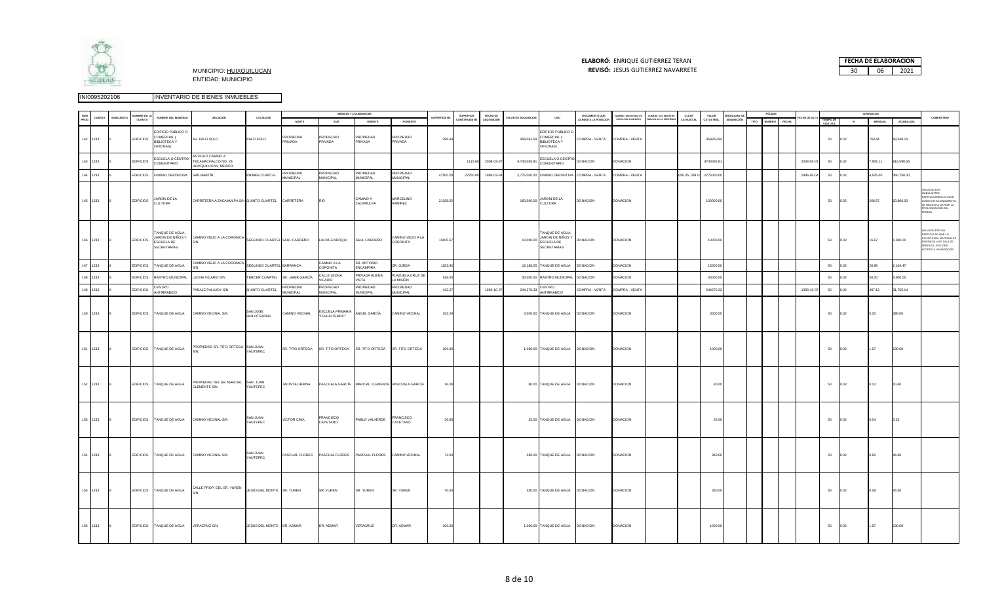

# **ELABORÓ:** ENRIQUE GUTIERREZ TERAN



|     |          |                  | OMBRE DE LA      |                                                                            |                                                                   |                            |                               |                                  | MEDIDAS Y COLINDANCIAS                           |                                      |                      | SUPERFICIE  | FECHA DE   |                             |                                                                         | DOCUMENTO QUE              | NUMERO ESCRITURA Y/O | NUMERO DEL REGISTRO    | CLAVE        | VALOR      | MODALIDAD D |      | PÓLIZA        |       |             |                        |                          | DEPRESIACION   |            |                                                                                                                                                                |
|-----|----------|------------------|------------------|----------------------------------------------------------------------------|-------------------------------------------------------------------|----------------------------|-------------------------------|----------------------------------|--------------------------------------------------|--------------------------------------|----------------------|-------------|------------|-----------------------------|-------------------------------------------------------------------------|----------------------------|----------------------|------------------------|--------------|------------|-------------|------|---------------|-------|-------------|------------------------|--------------------------|----------------|------------|----------------------------------------------------------------------------------------------------------------------------------------------------------------|
|     | UENT.    | <b>SUBCUENTA</b> | CUENTA           | NOMBRE DEL INMUEBLE                                                        | UBICACIÓN                                                         | LOCALIDAD                  | NORTE                         | SUR                              | ORIENTE                                          | PONIENTE                             | <b>SUPERFICIE M2</b> | ONSTRUIDA M | DQUISICIÓN | <b>VALOR DE ADQUISICION</b> | <b>USO</b>                                                              | <b>CREDITA LA POSECION</b> | FECHA DEL CONTRATO   | PÚBLICO DE LA PROPIEDA | CATRASTAL    | CATASTRAL  | ADQUISICIÓN | TIPO | <b>NUMERO</b> | FECHA | ECHA DE ALT | TIEMPO DE<br>VIDA UTIL | $\mathcal{N}_\mathbf{a}$ | <b>MENSUAL</b> | ACUMULADA  | COMENTARIO                                                                                                                                                     |
|     | 142 1233 |                  | <b>EDIFICIOS</b> | <b>EDIFICIO PUBLICO O</b><br>COMERCIAL (<br><b>BIBLIOTECAY</b><br>FICINAS) | AV. PALO SOLO                                                     | PALO SOLO                  | PROPIEDAD<br>PRIVADA          | PROPIEDAD<br>PRIVADA             | PROPIEDAD<br>PRIVADA                             | PROPIEDAD<br>PRIVADA                 | 296.64               |             |            | 458,062.59                  | EDIFICIO PUBLICO O<br>COMERCIAL (<br><b>BIBLIOTECA Y</b><br>OFICINAS)   | COMPRA - VENTA             | COMPRA - VENTA       |                        |              | 459250.84  |             |      |               |       |             | 50                     | 0.02                     | 763.44         | 59,548.14  |                                                                                                                                                                |
|     | 143 1233 |                  | <b>EDIFICIOS</b> | SCUELA O CENTRO<br><b>COMUNITARIO</b>                                      | ANTIGUO CAMINO A<br>TECAMACHALCO NO. 29,<br>HUIXQUILUCAN, MEXICO. |                            |                               |                                  |                                                  |                                      |                      | 11156       | 2008-03-0  | 4,743,065.81                | ESCUELA O CENTRO<br>COMUNITARIO                                         | DONACION                   | DONACION             |                        |              | 4743065.8  |             |      |               |       | 2008-03-07  | 50                     | 0.02                     | 790511         | 616,598.56 |                                                                                                                                                                |
| 144 | 1233     |                  | <b>EDIFICIOS</b> | UNIDAD DEPORTIVA                                                           | SAN MARTÍN                                                        | RIMER CUARTEL              | PROPIEDAD<br><b>MUNICIPAL</b> | PROPIEDAD<br><b>MUNICIPAL</b>    | PROPIEDAD<br><b>MUNICIPAL</b>                    | <b>PROPIEDAD</b><br><b>MUNICIPAL</b> | 47500.00             | 23750.0     | 1996-03-0  | 2,775,000.00                | UNIDAD DEPORTIVA                                                        | COMPRA - VENTA             | COMPRA - VENTA       |                        | 095 05 039 0 | 2775000.00 |             |      |               |       | 1996-03-0   | 50                     | 0.02                     | 4,625.00       | 360,750.00 |                                                                                                                                                                |
|     | 145 1233 |                  | <b>EDIFICIOS</b> | JARDÍN DE LA<br>CULTURA                                                    | CARRETERA A ZACAMULPA S/N QUINTO CUARTEL CARRETERA                |                            |                               | RÍO                              | CAMINO A<br>ZACAMULPA                            | <b>MARCELINO</b><br>RAMÍREZ          | 21158.62             |             |            |                             | 160,000.00 JARDÍN DE LA<br>CULTURA                                      | DONACION                   | DONACION             |                        |              | 160000.00  |             |      |               |       |             | 50                     | 0.02                     | 266.67         | 20,800.00  | ASIÓN POR<br>MBULANTES.<br>ARTICULARES LO USAN<br>COMO ESTACIONAMIENTO<br>SE NECESITA DEFINIR LA<br>ROLONGACIÓN DEL<br>EDIO.                                   |
|     | 146 1233 |                  | <b>EDIFICIOS</b> | TANQUE DE AGUA,<br>IARDIN DE NIÑOS Y<br>SCUELA DE<br>SECRETARIAS           | CAMINO VIEJO A LA CORONICA SEGUNDO CUARTEL SAUL CARREÑO           |                            |                               | LUCAS ENDOQUI                    | SAUL CARREÑO                                     | CAMINO VIEJO A LA<br>CORONITA        | 10405.57             |             |            | 10,000.00                   | TANQUE DE AGUA<br>JARDIN DE NIÑOS Y<br>ESCUELA DE<br><b>SECRETARIAS</b> | DONACION                   | <b>DONACION</b>      |                        |              | 10000.00   |             |      |               |       |             | 50                     | 0.02                     | 16.67          | 1,300.00   | VASIÓN POR UN<br>----------------------<br>PARTICULAR QUE LO<br>OCUPA PARA MATERIALI<br>VERSOS. HAY TALA DE<br>ARBOLES, ASI COMO<br><b>ICCESO A UN ANDADOR</b> |
|     | 147 1233 |                  | <b>EDIFICIOS</b> | ANQUE DE AGUA                                                              | CAMINO VIEJO A LA CORONICA                                        | EGUNDO CUARTEL BARRANCA    |                               | CAMINO A LA<br><b>CORONITA</b>   | SR. ANTONIO<br><b>FNCAMPIRA</b>                  | R. OJEDA                             | 1283.92              |             |            | 16,188.25                   | TANQUE DE AGUA                                                          | <b>ONACION</b>             | <b>DONACION</b>      |                        |              | 15000.00   |             |      |               |       |             | 50                     | 0.02                     | 26.98          | 2,104.47   |                                                                                                                                                                |
|     | 148 1233 |                  | <b>EDIFICIOS</b> | RASTRO MUNICIPAL                                                           | LEONA VICARIO S/N                                                 | <b>ERCER CUARTEL</b>       | SR. JAIME GARCÍA              | CALLE LEONA<br>/ICARIO           | PRIVADA BUENA<br>VISTA                           | PLAZUELA CRUZ D<br>A MISIÓN          | 918.00               |             |            | 30,000.00                   | RASTRO MUNICIPAL                                                        | DONACION                   | <b>DONACION</b>      |                        |              | 30000.00   |             |      |               |       |             | 50                     | 0.02                     | 50.00          | 3,900.00   |                                                                                                                                                                |
|     | 149 1233 |                  | <b>EDIFICIOS</b> | CENTRO<br>ANTIRRABICO                                                      | PARAJE PALAJOY S/N                                                | QUINTO CUARTEL             | PROPIEDAD<br><b>MUNICIPAL</b> | PROPIEDAD<br>MUNICIPAL           | PROPIEDAD<br><b>MUNICIPAL</b>                    | PROPIEDAD<br><b>MUNICIPAL</b>        | 422.27               |             | 1993-10-0  | 244,270.33                  | CENTRO<br>ANTIRRABICO                                                   | COMPRA - VENTA             | COMPRA - VENTA       |                        |              | 244270.33  |             |      |               |       | 1993-10-07  | 50                     | 0.02                     | 407.12         | 31,755.14  |                                                                                                                                                                |
|     | 150 1233 |                  |                  | EDIFICIOS TANQUE DE AGUA                                                   | CAMINO VECINAL S/N                                                | SAN JOSE<br>HUILOTEAPAN    | CAMINO VECINAL                | ESCUELA PRIMARIA<br>"CUAUHTEMOC" | ÁNGEL GARCÍA                                     | CAMINO VECINAL                       | 162.29               |             |            |                             | 3,000.00 TANQUE DE AGUA DONACION                                        |                            | <b>DONACION</b>      |                        |              | 3000.00    |             |      |               |       |             | 50                     | 0.02                     | 5.00           | 390.00     |                                                                                                                                                                |
|     | 151 1233 |                  |                  | EDIFICIOS TANQUE DE AGUA                                                   | PROPIEDAD SR. TITO ORTEGA SAN JUAN                                | YAUTEPEC                   | SR. TITO ORTEGA               | SR. TITO ORTEGA                  | SR. TITO ORTEGA                                  | SR. TITO ORTEGA                      | 100.00               |             |            |                             | 1,000.00 TANQUE DE AGUA DONACION                                        |                            | <b>DONACION</b>      |                        |              | 1000.00    |             |      |               |       |             | 50                     | 0.02                     | 1.67           | 130.00     |                                                                                                                                                                |
|     | 152 1233 |                  |                  | EDIFICIOS TANQUE DE AGUA                                                   | PROPIEDAD DEL SR. MARCIAL<br><b>CLEMENTE S/N</b>                  | SAN JUAN<br>YAUTEPEC       | <b>JACINTA URBINA</b>         |                                  | PASCUALA GARCÍA MARCIAL CLEMENTE PASCUALA GARCÍA |                                      | 16.00                |             |            |                             | 80.00 TANQUE DE AGUA DONACION                                           |                            | <b>DONACION</b>      |                        |              | 80.00      |             |      |               |       |             | 50                     | 0.02                     | 0.13           | 10.40      |                                                                                                                                                                |
|     | 153 1233 |                  |                  | EDIFICIOS TANGUE DE AGUA                                                   | CAMINO VECINAL S/N                                                | <b>SAN JUAN</b><br>AUTEPEC | <b>VÍCTOR CIMA</b>            | FRANCISCO<br>CAYETANO            | PABLO VALVERDE                                   | <b>FRANCISCO</b><br>CAYETANO         | 26.63                |             |            |                             | 25.00 TANGUE DE AGUA DONACION                                           |                            | <b>DONACION</b>      |                        |              | 25.00      |             |      |               |       |             | 50                     | 0.02                     | 0.04           | 3.25       |                                                                                                                                                                |
|     | 154 1233 |                  |                  | EDIFICIOS TANQUE DE AGUA                                                   | CAMINO VECINAL S/N                                                | SAN JUAN<br>YAUTEPEC       | PASCUAL FLORES                | PASCUAL FLORES                   | PASCUAL FLORES                                   | CAMINO VECINAL                       | 72.00                |             |            |                             | 360.00 TANQUE DE AGUA DONACION                                          |                            | <b>DONACION</b>      |                        |              | 360.00     |             |      |               |       |             | 50                     | 0.02                     | 0.60           | 46.80      |                                                                                                                                                                |
|     | 155 1233 |                  |                  | EDIFICIOS TANQUE DE AGUA                                                   | CALLE PROP. DEL SR. YUREN JESÚS DEL MONTE SR. YUREN               |                            |                               | SR. YUREN                        | SR. YUREN                                        | SR. YUREN                            | 70.00                |             |            |                             | 350.00 TANQUE DE AGUA DONACION                                          |                            | <b>DONACION</b>      |                        |              | 350.00     |             |      |               |       |             | 50                     | 0.02                     | 0.58           | 45.50      |                                                                                                                                                                |
|     | 156 1233 |                  |                  | EDIFICIOS TANQUE DE AGUA                                                   | <b>VERACRUZ S/N</b>                                               | JESÚS DEL MONTE DR. ADMAR  |                               | DR. ADMAR                        | VERACRUZ                                         | DR. ADMAR                            | 100.00               |             |            |                             | 1,000.00 TANQUE DE AGUA DONACION                                        |                            | <b>DONACION</b>      |                        |              | 1000.00    |             |      |               |       |             | 50                     | 0.02                     | 1.67           | 130.00     |                                                                                                                                                                |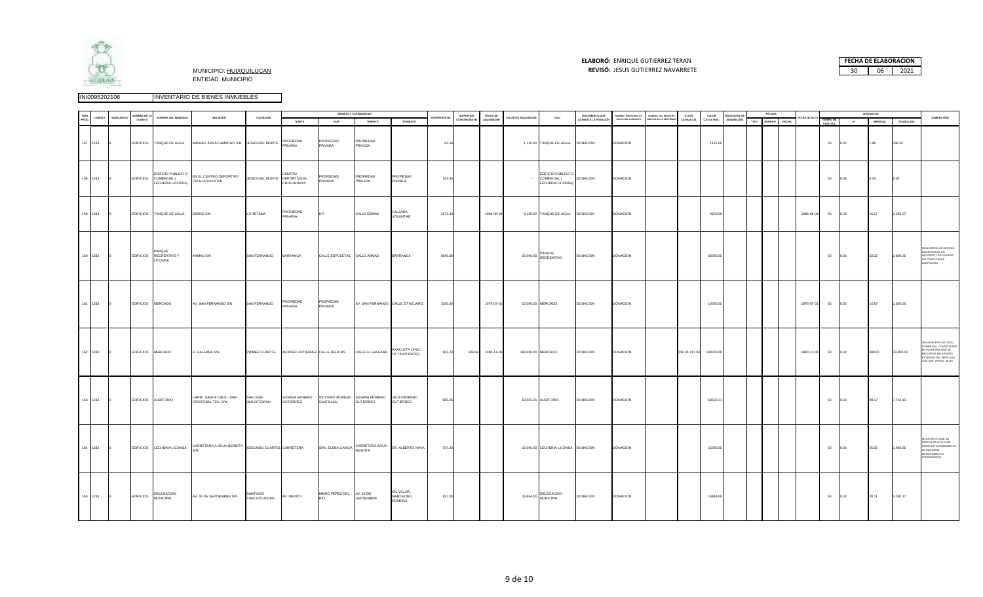

# **ELABORÓ:** ENRIQUE GUTIERREZ TERAN



| <b>NUM</b> |            |                  | VOMBRE DE LA      |                                                    |                                                                               |                                |                      |                                  | MEDIDAS Y COLINDANCIAS                                                         |                                    |               | <b>SUPERFICIE</b> | <b>FECHA DE</b>   |                             |                                                        | DOCUMENTO QUE        | NUMERO ESCRITURA Y/O | NUMERO DEL REGISTRO   | CLAVE                   | VALOR     | MODALIDAD DE       |      | PÓLIZAS      |             |                        |       | DEPRESIACION   |           |                                                                                                                                              |
|------------|------------|------------------|-------------------|----------------------------------------------------|-------------------------------------------------------------------------------|--------------------------------|----------------------|----------------------------------|--------------------------------------------------------------------------------|------------------------------------|---------------|-------------------|-------------------|-----------------------------|--------------------------------------------------------|----------------------|----------------------|-----------------------|-------------------------|-----------|--------------------|------|--------------|-------------|------------------------|-------|----------------|-----------|----------------------------------------------------------------------------------------------------------------------------------------------|
| PROG       | CUENTA     | <b>SUBCUENTA</b> | CUENTA            | NOMBRE DEL INMUEBLE                                | UBICACIÓN                                                                     | LOCALIDAD                      | NORTE                | SUR                              | ORIENTE                                                                        | PONIENTE                           | SUPERFICIE M2 | CONSTRUIDA M2     | ADQUISICIÓN       | <b>VALOR DE ADQUISICION</b> | uso                                                    | ACREDITA LA POSECION | FECHA DEL CONTRATO   | ÚBLICO DE LA PROPIEDA | CATRASTAL               | CATASTRAL | <b>ADQUISICIÓN</b> | TIPO | NUMERO FECHA | ECHA DE ALT | TIEMPO DE<br>VIDA UTIL | $-26$ | <b>MENSUAL</b> | ACUMULADA | COMENTARIO                                                                                                                                   |
|            | 157 1233   |                  |                   | EDIFICIOS TANQUE DE AGUA                           | MANUEL ÁVILA CAMACHO S/N JESÚS DEL MONTE PRIVADA                              |                                | PROPIEDAD            | PROPIEDAD<br>PRIVADA             | PROPIEDAD<br>PRIVADA                                                           |                                    | 82.50         |                   |                   |                             | 1,125.00 TANQUE DE AGUA DONACION                       |                      | DONACION             |                       |                         | 1125.00   |                    |      |              |             | 50                     | 0.02  | 1.88           | 146.25    |                                                                                                                                              |
|            | 158 1233   |                  |                   | EDIFICIOS COMERCIAL (                              | EDIFICIO PUBLICO O EN EL CENTRO DEPORTIVO<br>LECHERÍA LICONSA) CHULUHUAYA SIN | JESÚS DEL MONTE DEPORTIVO EL   | CENTRO<br>CHULUHUAYA | PROPIEDAD<br>PRIVADA             | PROPIEDAD<br>PRIVADA                                                           | PROPIEDAD<br>PRIVADA               | 241.80        |                   |                   |                             | EDIFICIO PUBLICO O<br>COMERCIAL (<br>LECHERÍA LICONSA) | <b>DONACION</b>      | <b>DONACION</b>      |                       |                         |           |                    |      |              |             | 50                     | 0.02  | 0.00           | 0.00      |                                                                                                                                              |
|            | 159 1233   |                  |                   | EDIFICIOS TANQUE DE AGUA                           | EBANO S/N                                                                     | LA RETAMA                      | PROPIEDAD<br>PRIVADA | D.F.                             | CALLE EBANO                                                                    | CALZADA<br>VOLUNTAD                | 1071.34       |                   | 1984-06-04        |                             | 9,100.50 TANQUE DE AGUA DONACION                       |                      | <b>DONACION</b>      |                       |                         | 9100.50   |                    |      |              | 1984-06-04  | 50                     | 0.02  | 15.17          | 1,183.07  |                                                                                                                                              |
|            | 160 1233   |                  |                   | PARQUE<br>EDIFICIOS RECREATIVO Y<br><b>LICONSA</b> | ARMAS S/N                                                                     | SAN FERNANDO BARRANCA          |                      | CALLE ESPOLETAS CALLE ARMAS      |                                                                                | <b>BARRANCA</b>                    | 5640.00       |                   |                   |                             | 20,000.00 PARQUE<br>RECREATIVO                         | <b>DONACION</b>      | <b>DONACION</b>      |                       |                         | 20000.00  |                    |      |              |             | 50                     | 0.02  | 33.33          | 2,600.00  | EALIZARON UN ACCESO<br>CONSISTENTE EN<br>ANDADOR Y ESCALERAS,<br>SÍ COMO CASAS<br>ABITACIÓN.                                                 |
|            | 161 1233 8 |                  |                   | EDIFICIOS MERCADO                                  | AV. SAN FERNANDO S/N                                                          | SAN FERNANDO PROPIEDAD         | PRIVADA              | PROPIEDAD<br>PRIVADA             | AV. SAN FERNANDO CALLE ZITACUARO                                               |                                    | 1020.00       |                   | 1976-07-01        |                             | 10,000.00 MERCADO                                      | <b>DONACION</b>      | <b>DONACION</b>      |                       |                         | 10000.00  |                    |      |              | 1976-07-01  | 50 0.02                |       | 16.67          | 1,300.00  |                                                                                                                                              |
|            | 162 1233   |                  | EDIFICIOS MERCADO |                                                    | H. GALEANA S/N                                                                |                                |                      |                                  | PRIMER CUARTEL ALONSO GUTIÉRREZ CALLE DELICIAS CALLE H. GALEANA ANACLETA CRUZ, |                                    | 963.23        |                   | 869.54 1980-11-06 |                             | 180,000.00 MERCADO                                     | <b>DONACION</b>      | <b>DONACION</b>      |                       | 095 01 012 04 180000.00 |           |                    |      |              | 1980-11-06  | 50                     | 0.02  | 300.00         | 23,400.00 | INVASION POR UN LOCAL<br>COMERCIAL, CONSISTENTE<br>N PALETERIA QUE SE<br>NCUETRA ENLA PARTE<br>EXTERIOR DEL MERCADO<br>CON SUP. APROX. 36 M2 |
|            | 163 1233   |                  |                   | EDIFICIOS AUDITORIO                                | CARR. SANTA CRUZ - SAN<br>CRISTÓBAL TEX. S/N                                  | SAN JOSE<br><b>HUILOTEAPAN</b> | <b>GUTIÉRREZ</b>     | SANTILLAN                        | SUSANA MORENO VICTORIO MORENO SUSANA MORENO JULIO MORENO<br><b>GUTIÉRREZ</b>   | <b>GUTIÉRREZ</b>                   | 985.25        |                   |                   |                             | 59,502.21 AUDITORIO                                    | <b>DONACION</b>      | DONACION             |                       |                         | 59502.21  |                    |      |              |             | 50                     | 0.02  | 99.17          | 7,733.13  |                                                                                                                                              |
|            | 164 1233   |                  |                   |                                                    | EDIFICIOS LECHERIA LICONSA CARRETERA A AGUA BENDITA SEGUNDO CUARTEL CARRETERA |                                |                      |                                  | SRA. ELENA GARCIA CARRETERA AGUA SR. ALBERTO NAVA                              |                                    | 787.20        |                   |                   |                             | 15,000.00 LECHERIA LICONSA DONACION                    |                      | <b>DONACION</b>      |                       |                         | 15000.00  |                    |      |              |             | 50                     | 0.02  | 25.00          | 1,950.00  | SE DETECTA QUE UN<br>PARTIULAR LO UTILIZA<br>COMO ESTACIONAMIENTO,<br>SE REQUIERE<br>EVANTAMIENTO<br>TOPOGRÁFICO                             |
|            | 165 1233   |                  |                   | EDIFICIOS DELEGACIÓN                               | AV. 16 DE SEPTIEMBRE S/N                                                      | SANTIAGO<br>YANCUITLALPAN      | AV. MEXICO           | MARIO PÉREZ DEL AV. 16 DE<br>RÍO | SEPTIEMBRE                                                                     | GIL VILLAR,<br>MARCELINO<br>ROMERO | 837.00        |                   |                   |                             | 16,864.00 DELEGACIÓN                                   | <b>DONACION</b>      | <b>DONACION</b>      |                       |                         | 16864.00  |                    |      |              |             | 50                     | 0.02  | 28.11          | 2,190.17  |                                                                                                                                              |